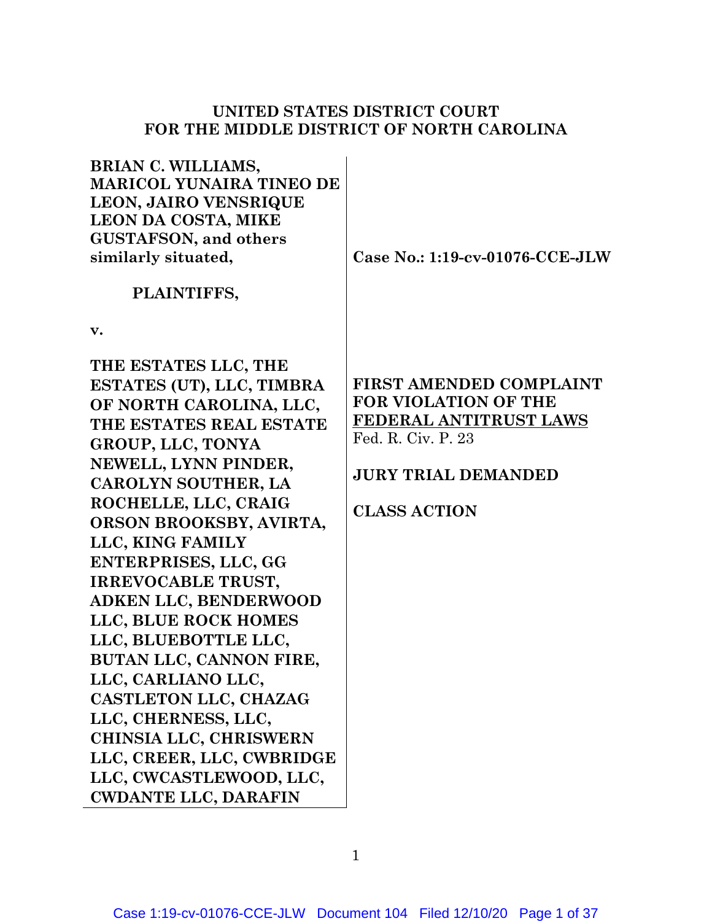## **UNITED STATES DISTRICT COURT FOR THE MIDDLE DISTRICT OF NORTH CAROLINA**

**BRIAN C. WILLIAMS, MARICOL YUNAIRA TINEO DE LEON, JAIRO VENSRIQUE LEON DA COSTA, MIKE GUSTAFSON, and others similarly situated,** 

**Case No.: 1:19-cv-01076-CCE-JLW** 

## **PLAINTIFFS,**

**v.** 

**THE ESTATES LLC, THE ESTATES (UT), LLC, TIMBRA OF NORTH CAROLINA, LLC, THE ESTATES REAL ESTATE GROUP, LLC, TONYA NEWELL, LYNN PINDER, CAROLYN SOUTHER, LA ROCHELLE, LLC, CRAIG ORSON BROOKSBY, AVIRTA, LLC, KING FAMILY ENTERPRISES, LLC, GG IRREVOCABLE TRUST, ADKEN LLC, BENDERWOOD LLC, BLUE ROCK HOMES LLC, BLUEBOTTLE LLC, BUTAN LLC, CANNON FIRE, LLC, CARLIANO LLC, CASTLETON LLC, CHAZAG LLC, CHERNESS, LLC, CHINSIA LLC, CHRISWERN LLC, CREER, LLC, CWBRIDGE LLC, CWCASTLEWOOD, LLC, CWDANTE LLC, DARAFIN** 

## **FIRST AMENDED COMPLAINT FOR VIOLATION OF THE FEDERAL ANTITRUST LAWS**  Fed. R. Civ. P. 23

# **JURY TRIAL DEMANDED**

# **CLASS ACTION**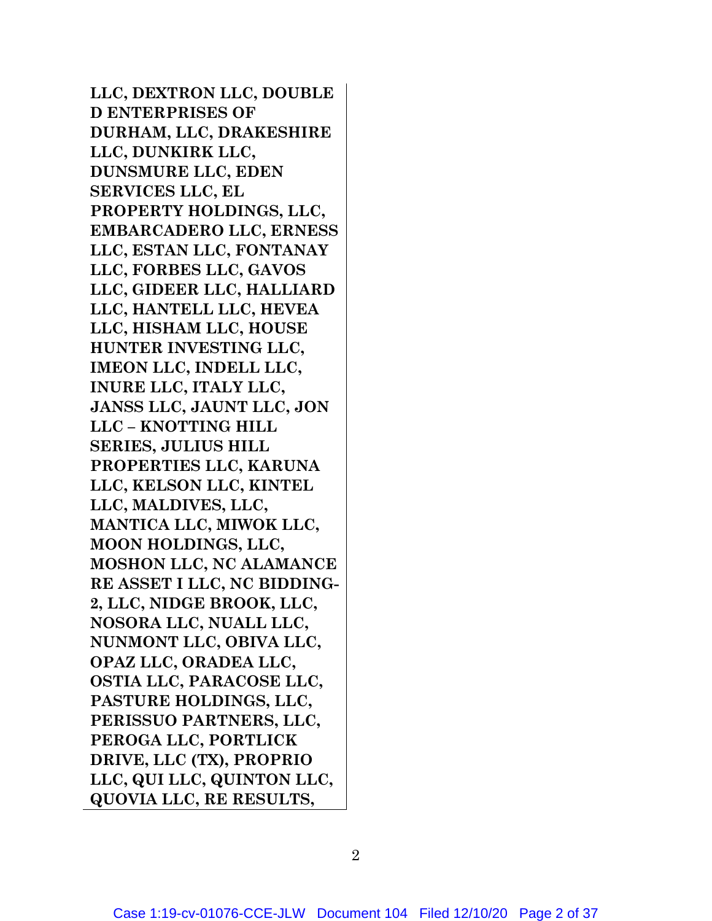**LLC, DEXTRON LLC, DOUBLE D ENTERPRISES OF DURHAM, LLC, DRAKESHIRE LLC, DUNKIRK LLC, DUNSMURE LLC, EDEN SERVICES LLC, EL PROPERTY HOLDINGS, LLC, EMBARCADERO LLC, ERNESS LLC, ESTAN LLC, FONTANAY LLC, FORBES LLC, GAVOS LLC, GIDEER LLC, HALLIARD LLC, HANTELL LLC, HEVEA LLC, HISHAM LLC, HOUSE HUNTER INVESTING LLC, IMEON LLC, INDELL LLC, INURE LLC, ITALY LLC, JANSS LLC, JAUNT LLC, JON LLC – KNOTTING HILL SERIES, JULIUS HILL PROPERTIES LLC, KARUNA LLC, KELSON LLC, KINTEL LLC, MALDIVES, LLC, MANTICA LLC, MIWOK LLC, MOON HOLDINGS, LLC, MOSHON LLC, NC ALAMANCE RE ASSET I LLC, NC BIDDING-2, LLC, NIDGE BROOK, LLC, NOSORA LLC, NUALL LLC, NUNMONT LLC, OBIVA LLC, OPAZ LLC, ORADEA LLC, OSTIA LLC, PARACOSE LLC, PASTURE HOLDINGS, LLC, PERISSUO PARTNERS, LLC, PEROGA LLC, PORTLICK DRIVE, LLC (TX), PROPRIO LLC, QUI LLC, QUINTON LLC, QUOVIA LLC, RE RESULTS,**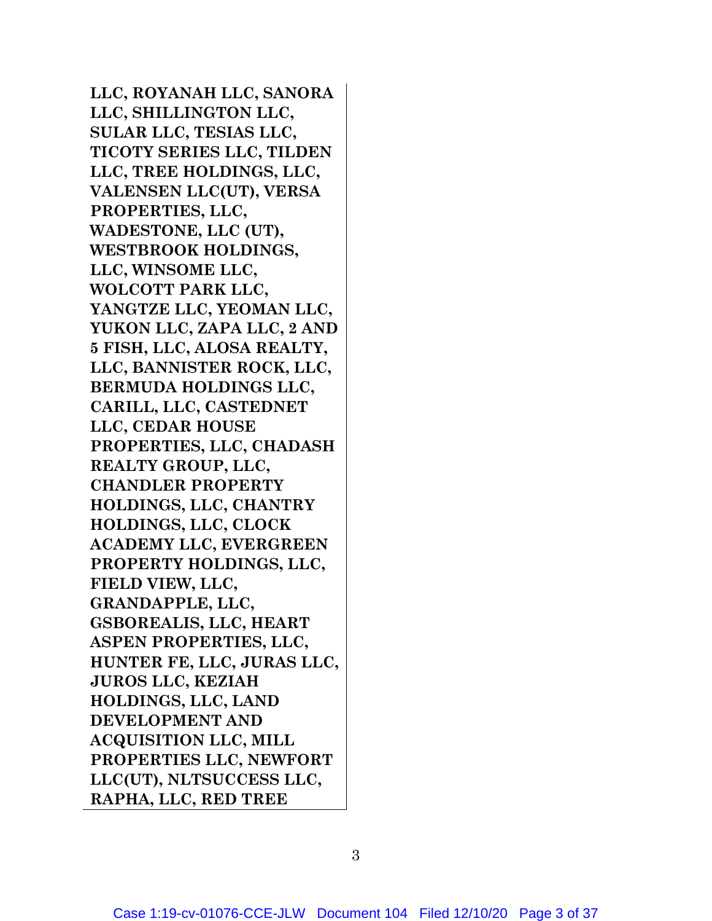**LLC, ROYANAH LLC, SANORA LLC, SHILLINGTON LLC, SULAR LLC, TESIAS LLC, TICOTY SERIES LLC, TILDEN LLC, TREE HOLDINGS, LLC, VALENSEN LLC(UT), VERSA PROPERTIES, LLC, WADESTONE, LLC (UT), WESTBROOK HOLDINGS, LLC, WINSOME LLC, WOLCOTT PARK LLC, YANGTZE LLC, YEOMAN LLC, YUKON LLC, ZAPA LLC, 2 AND 5 FISH, LLC, ALOSA REALTY, LLC, BANNISTER ROCK, LLC, BERMUDA HOLDINGS LLC, CARILL, LLC, CASTEDNET LLC, CEDAR HOUSE PROPERTIES, LLC, CHADASH REALTY GROUP, LLC, CHANDLER PROPERTY HOLDINGS, LLC, CHANTRY HOLDINGS, LLC, CLOCK ACADEMY LLC, EVERGREEN PROPERTY HOLDINGS, LLC, FIELD VIEW, LLC, GRANDAPPLE, LLC, GSBOREALIS, LLC, HEART ASPEN PROPERTIES, LLC, HUNTER FE, LLC, JURAS LLC, JUROS LLC, KEZIAH HOLDINGS, LLC, LAND DEVELOPMENT AND ACQUISITION LLC, MILL PROPERTIES LLC, NEWFORT LLC(UT), NLTSUCCESS LLC, RAPHA, LLC, RED TREE**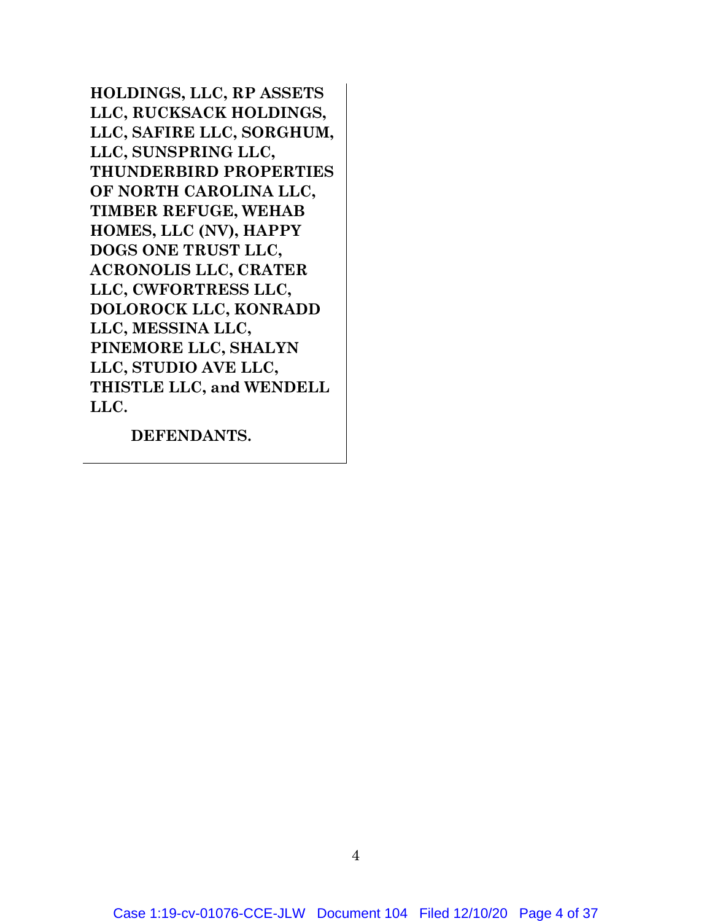**HOLDINGS, LLC, RP ASSETS LLC, RUCKSACK HOLDINGS, LLC, SAFIRE LLC, SORGHUM, LLC, SUNSPRING LLC, THUNDERBIRD PROPERTIES OF NORTH CAROLINA LLC, TIMBER REFUGE, WEHAB HOMES, LLC (NV), HAPPY DOGS ONE TRUST LLC, ACRONOLIS LLC, CRATER LLC, CWFORTRESS LLC, DOLOROCK LLC, KONRADD LLC, MESSINA LLC, PINEMORE LLC, SHALYN LLC, STUDIO AVE LLC, THISTLE LLC, and WENDELL LLC.**

**DEFENDANTS.**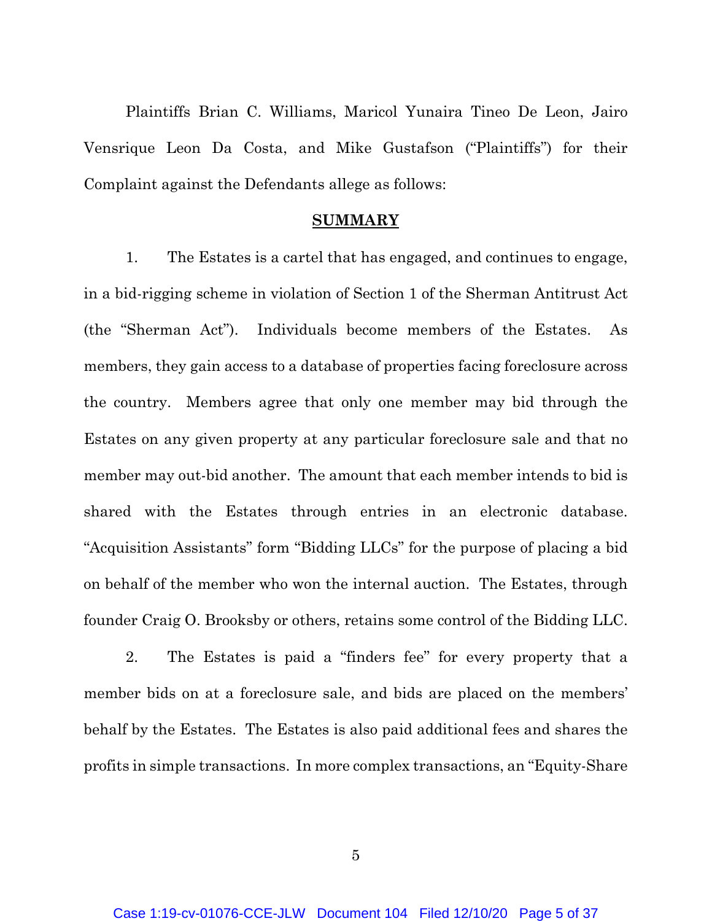Plaintiffs Brian C. Williams, Maricol Yunaira Tineo De Leon, Jairo Vensrique Leon Da Costa, and Mike Gustafson ("Plaintiffs") for their Complaint against the Defendants allege as follows:

#### **SUMMARY**

1. The Estates is a cartel that has engaged, and continues to engage, in a bid-rigging scheme in violation of Section 1 of the Sherman Antitrust Act (the "Sherman Act"). Individuals become members of the Estates. As members, they gain access to a database of properties facing foreclosure across the country. Members agree that only one member may bid through the Estates on any given property at any particular foreclosure sale and that no member may out-bid another. The amount that each member intends to bid is shared with the Estates through entries in an electronic database. "Acquisition Assistants" form "Bidding LLCs" for the purpose of placing a bid on behalf of the member who won the internal auction. The Estates, through founder Craig O. Brooksby or others, retains some control of the Bidding LLC.

2. The Estates is paid a "finders fee" for every property that a member bids on at a foreclosure sale, and bids are placed on the members' behalf by the Estates. The Estates is also paid additional fees and shares the profits in simple transactions. In more complex transactions, an "Equity-Share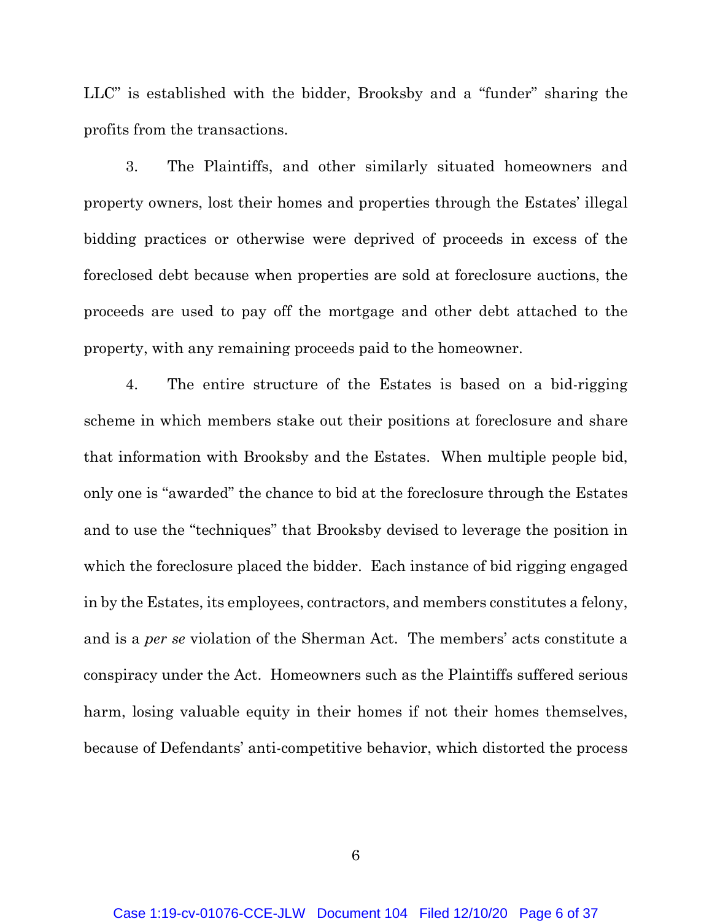LLC" is established with the bidder, Brooksby and a "funder" sharing the profits from the transactions.

3. The Plaintiffs, and other similarly situated homeowners and property owners, lost their homes and properties through the Estates' illegal bidding practices or otherwise were deprived of proceeds in excess of the foreclosed debt because when properties are sold at foreclosure auctions, the proceeds are used to pay off the mortgage and other debt attached to the property, with any remaining proceeds paid to the homeowner.

4. The entire structure of the Estates is based on a bid-rigging scheme in which members stake out their positions at foreclosure and share that information with Brooksby and the Estates. When multiple people bid, only one is "awarded" the chance to bid at the foreclosure through the Estates and to use the "techniques" that Brooksby devised to leverage the position in which the foreclosure placed the bidder. Each instance of bid rigging engaged in by the Estates, its employees, contractors, and members constitutes a felony, and is a *per se* violation of the Sherman Act. The members' acts constitute a conspiracy under the Act. Homeowners such as the Plaintiffs suffered serious harm, losing valuable equity in their homes if not their homes themselves, because of Defendants' anti-competitive behavior, which distorted the process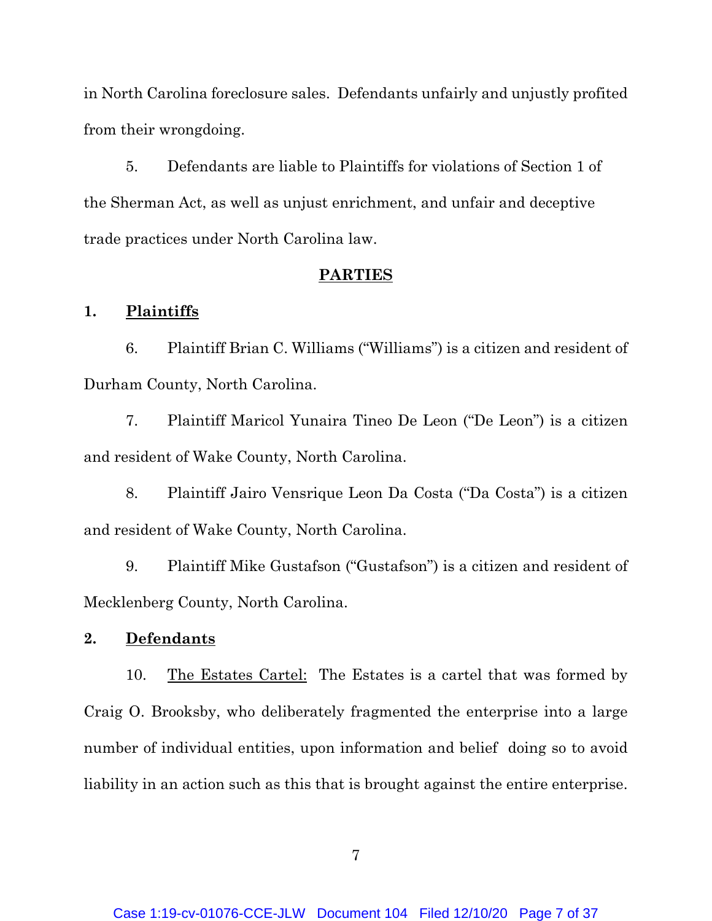in North Carolina foreclosure sales. Defendants unfairly and unjustly profited from their wrongdoing.

5. Defendants are liable to Plaintiffs for violations of Section 1 of the Sherman Act, as well as unjust enrichment, and unfair and deceptive trade practices under North Carolina law.

### **PARTIES**

#### **1. Plaintiffs**

6. Plaintiff Brian C. Williams ("Williams") is a citizen and resident of Durham County, North Carolina.

7. Plaintiff Maricol Yunaira Tineo De Leon ("De Leon") is a citizen and resident of Wake County, North Carolina.

8. Plaintiff Jairo Vensrique Leon Da Costa ("Da Costa") is a citizen and resident of Wake County, North Carolina.

9. Plaintiff Mike Gustafson ("Gustafson") is a citizen and resident of Mecklenberg County, North Carolina.

### **2. Defendants**

10. The Estates Cartel: The Estates is a cartel that was formed by Craig O. Brooksby, who deliberately fragmented the enterprise into a large number of individual entities, upon information and belief doing so to avoid liability in an action such as this that is brought against the entire enterprise.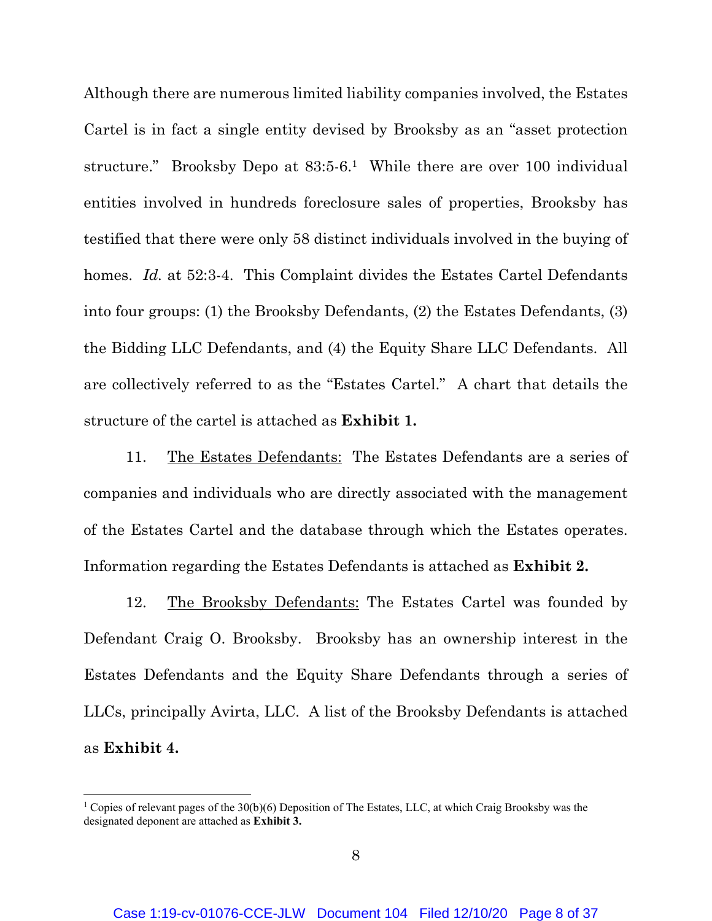Although there are numerous limited liability companies involved, the Estates Cartel is in fact a single entity devised by Brooksby as an "asset protection structure." Brooksby Depo at 83:5-6.<sup>1</sup> While there are over 100 individual entities involved in hundreds foreclosure sales of properties, Brooksby has testified that there were only 58 distinct individuals involved in the buying of homes. *Id.* at 52:3-4. This Complaint divides the Estates Cartel Defendants into four groups: (1) the Brooksby Defendants, (2) the Estates Defendants, (3) the Bidding LLC Defendants, and (4) the Equity Share LLC Defendants. All are collectively referred to as the "Estates Cartel." A chart that details the structure of the cartel is attached as **Exhibit 1.**

11. The Estates Defendants: The Estates Defendants are a series of companies and individuals who are directly associated with the management of the Estates Cartel and the database through which the Estates operates. Information regarding the Estates Defendants is attached as **Exhibit 2.**

12. The Brooksby Defendants: The Estates Cartel was founded by Defendant Craig O. Brooksby. Brooksby has an ownership interest in the Estates Defendants and the Equity Share Defendants through a series of LLCs, principally Avirta, LLC. A list of the Brooksby Defendants is attached as **Exhibit 4.**

<sup>&</sup>lt;sup>1</sup> Copies of relevant pages of the 30(b)(6) Deposition of The Estates, LLC, at which Craig Brooksby was the designated deponent are attached as **Exhibit 3.**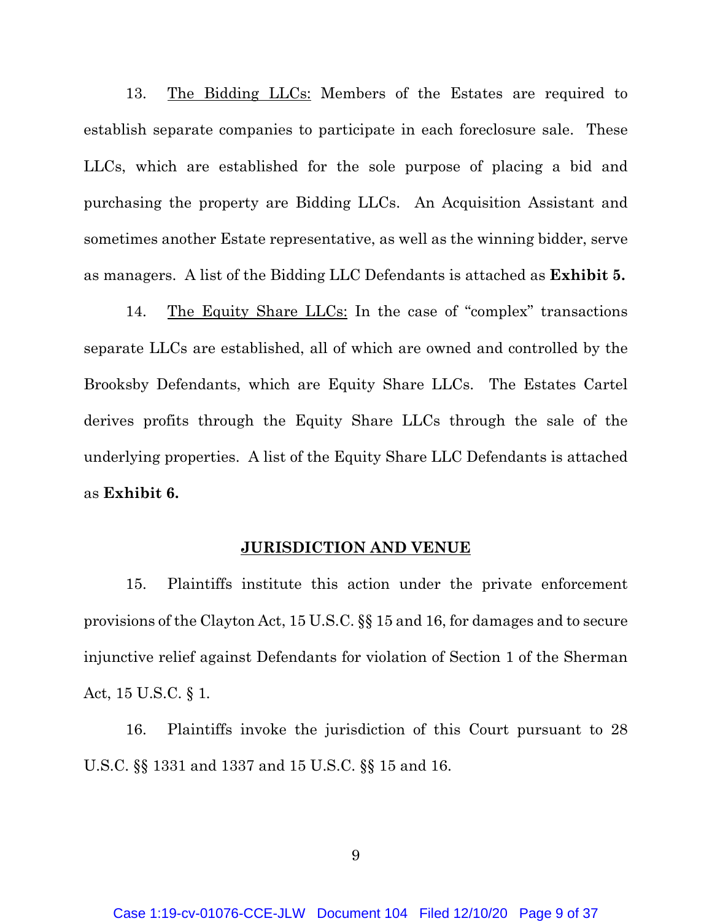13. The Bidding LLCs: Members of the Estates are required to establish separate companies to participate in each foreclosure sale. These LLCs, which are established for the sole purpose of placing a bid and purchasing the property are Bidding LLCs. An Acquisition Assistant and sometimes another Estate representative, as well as the winning bidder, serve as managers. A list of the Bidding LLC Defendants is attached as **Exhibit 5.**

14. The Equity Share LLCs: In the case of "complex" transactions separate LLCs are established, all of which are owned and controlled by the Brooksby Defendants, which are Equity Share LLCs. The Estates Cartel derives profits through the Equity Share LLCs through the sale of the underlying properties. A list of the Equity Share LLC Defendants is attached as **Exhibit 6.**

#### **JURISDICTION AND VENUE**

15. Plaintiffs institute this action under the private enforcement provisions of the Clayton Act, 15 U.S.C. §§ 15 and 16, for damages and to secure injunctive relief against Defendants for violation of Section 1 of the Sherman Act, 15 U.S.C. § 1*.*

16. Plaintiffs invoke the jurisdiction of this Court pursuant to 28 U.S.C. §§ 1331 and 1337 and 15 U.S.C. §§ 15 and 16.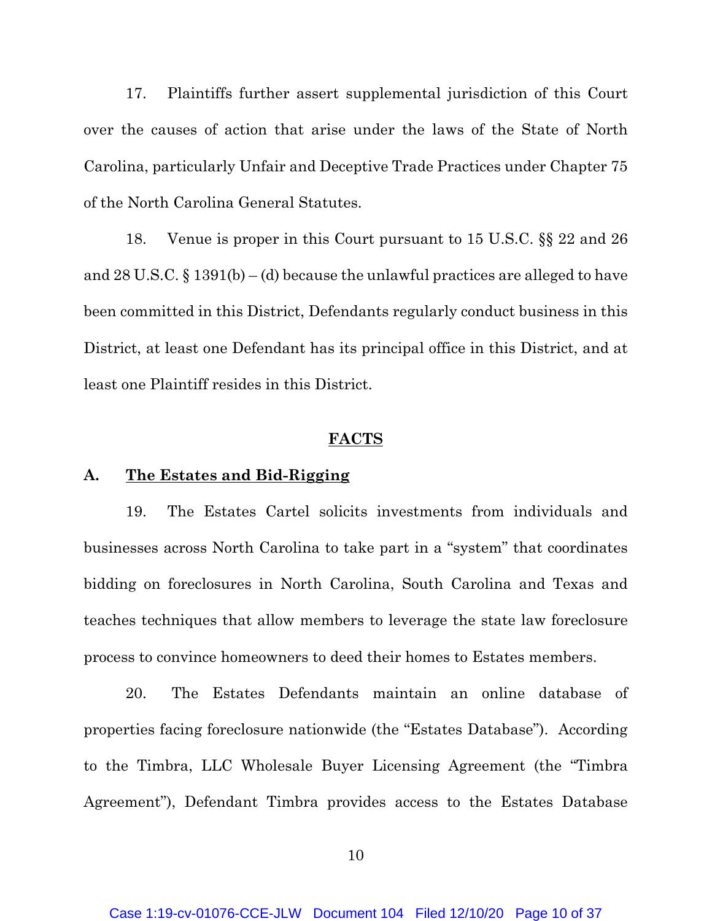17. Plaintiffs further assert supplemental jurisdiction of this Court over the causes of action that arise under the laws of the State of North Carolina, particularly Unfair and Deceptive Trade Practices under Chapter 75 of the North Carolina General Statutes.

18. Venue is proper in this Court pursuant to 15 U.S.C. §§ 22 and 26 and 28 U.S.C. § 1391(b) – (d) because the unlawful practices are alleged to have been committed in this District, Defendants regularly conduct business in this District, at least one Defendant has its principal office in this District, and at least one Plaintiff resides in this District.

#### **FACTS**

### **A. The Estates and Bid-Rigging**

19. The Estates Cartel solicits investments from individuals and businesses across North Carolina to take part in a "system" that coordinates bidding on foreclosures in North Carolina, South Carolina and Texas and teaches techniques that allow members to leverage the state law foreclosure process to convince homeowners to deed their homes to Estates members.

20. The Estates Defendants maintain an online database of properties facing foreclosure nationwide (the "Estates Database"). According to the Timbra, LLC Wholesale Buyer Licensing Agreement (the "Timbra Agreement"), Defendant Timbra provides access to the Estates Database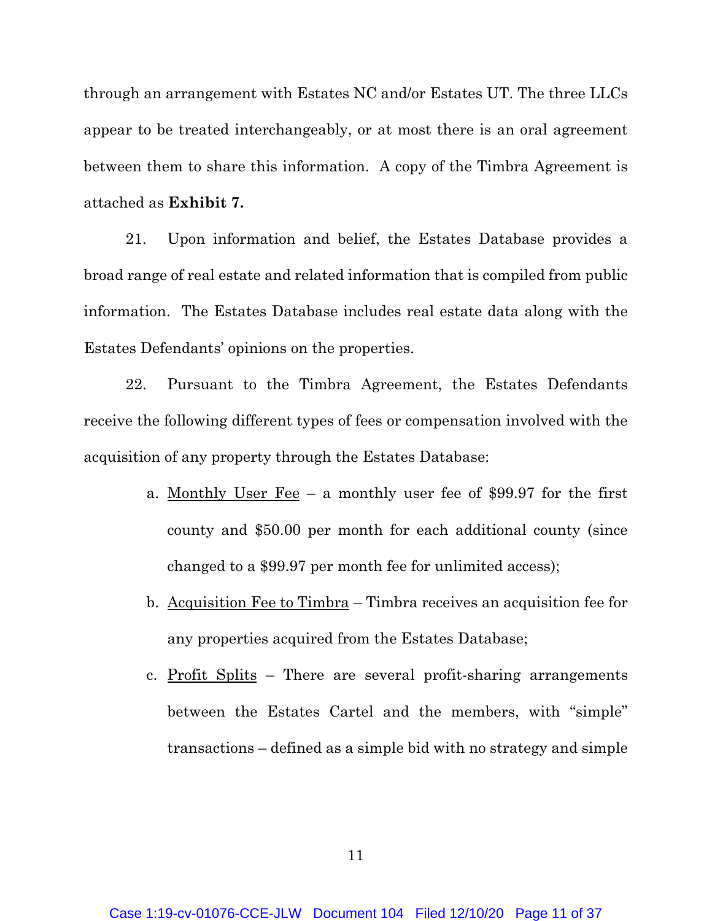through an arrangement with Estates NC and/or Estates UT. The three LLCs appear to be treated interchangeably, or at most there is an oral agreement between them to share this information. A copy of the Timbra Agreement is attached as **Exhibit 7.**

21. Upon information and belief, the Estates Database provides a broad range of real estate and related information that is compiled from public information. The Estates Database includes real estate data along with the Estates Defendants' opinions on the properties.

22. Pursuant to the Timbra Agreement, the Estates Defendants receive the following different types of fees or compensation involved with the acquisition of any property through the Estates Database:

- a. Monthly User Fee a monthly user fee of \$99.97 for the first county and \$50.00 per month for each additional county (since changed to a \$99.97 per month fee for unlimited access);
- b. Acquisition Fee to Timbra Timbra receives an acquisition fee for any properties acquired from the Estates Database;
- c. Profit Splits There are several profit-sharing arrangements between the Estates Cartel and the members, with "simple" transactions – defined as a simple bid with no strategy and simple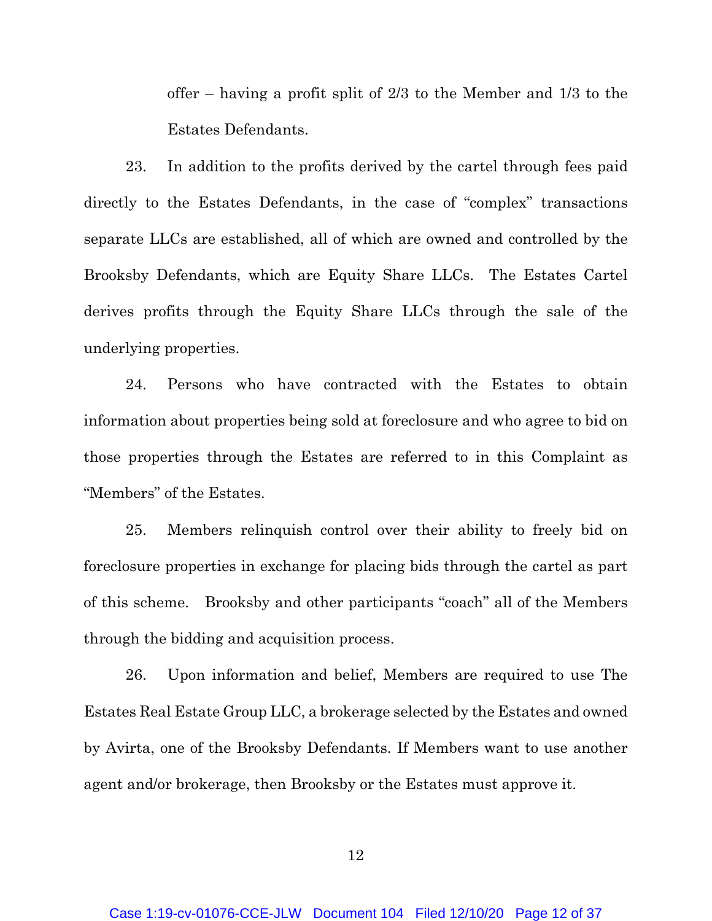offer – having a profit split of 2/3 to the Member and 1/3 to the Estates Defendants.

23. In addition to the profits derived by the cartel through fees paid directly to the Estates Defendants, in the case of "complex" transactions separate LLCs are established, all of which are owned and controlled by the Brooksby Defendants, which are Equity Share LLCs. The Estates Cartel derives profits through the Equity Share LLCs through the sale of the underlying properties.

24. Persons who have contracted with the Estates to obtain information about properties being sold at foreclosure and who agree to bid on those properties through the Estates are referred to in this Complaint as "Members" of the Estates.

25. Members relinquish control over their ability to freely bid on foreclosure properties in exchange for placing bids through the cartel as part of this scheme. Brooksby and other participants "coach" all of the Members through the bidding and acquisition process.

26. Upon information and belief, Members are required to use The Estates Real Estate Group LLC, a brokerage selected by the Estates and owned by Avirta, one of the Brooksby Defendants. If Members want to use another agent and/or brokerage, then Brooksby or the Estates must approve it.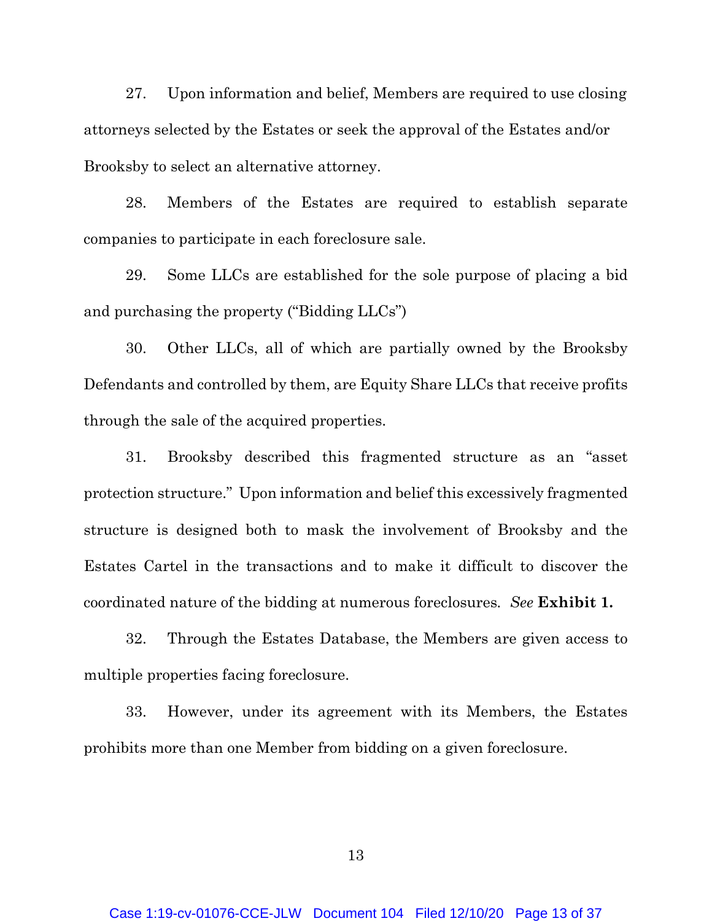27. Upon information and belief, Members are required to use closing attorneys selected by the Estates or seek the approval of the Estates and/or Brooksby to select an alternative attorney.

28. Members of the Estates are required to establish separate companies to participate in each foreclosure sale.

29. Some LLCs are established for the sole purpose of placing a bid and purchasing the property ("Bidding LLCs")

30. Other LLCs, all of which are partially owned by the Brooksby Defendants and controlled by them, are Equity Share LLCs that receive profits through the sale of the acquired properties.

31. Brooksby described this fragmented structure as an "asset protection structure." Upon information and belief this excessively fragmented structure is designed both to mask the involvement of Brooksby and the Estates Cartel in the transactions and to make it difficult to discover the coordinated nature of the bidding at numerous foreclosures*. See* **Exhibit 1.**

32. Through the Estates Database, the Members are given access to multiple properties facing foreclosure.

33. However, under its agreement with its Members, the Estates prohibits more than one Member from bidding on a given foreclosure.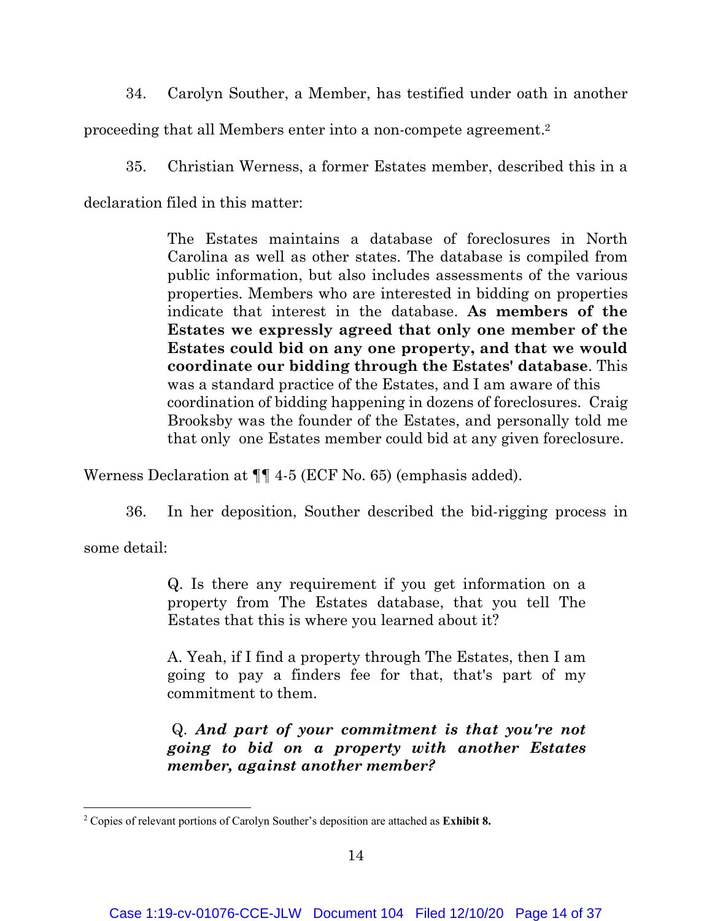34. Carolyn Souther, a Member, has testified under oath in another

proceeding that all Members enter into a non-compete agreement.2

35. Christian Werness, a former Estates member, described this in a

declaration filed in this matter:

The Estates maintains a database of foreclosures in North Carolina as well as other states. The database is compiled from public information, but also includes assessments of the various properties. Members who are interested in bidding on properties indicate that interest in the database. **As members of the Estates we expressly agreed that only one member of the Estates could bid on any one property, and that we would coordinate our bidding through the Estates' database**. This was a standard practice of the Estates, and I am aware of this coordination of bidding happening in dozens of foreclosures. Craig Brooksby was the founder of the Estates, and personally told me that only one Estates member could bid at any given foreclosure.

Werness Declaration at ¶¶ 4-5 (ECF No. 65) (emphasis added).

36. In her deposition, Souther described the bid-rigging process in

some detail:

Q. Is there any requirement if you get information on a property from The Estates database, that you tell The Estates that this is where you learned about it?

A. Yeah, if I find a property through The Estates, then I am going to pay a finders fee for that, that's part of my commitment to them.

 Q. *And part of your commitment is that you're not going to bid on a property with another Estates member, against another member?* 

<sup>2</sup> Copies of relevant portions of Carolyn Souther's deposition are attached as **Exhibit 8.**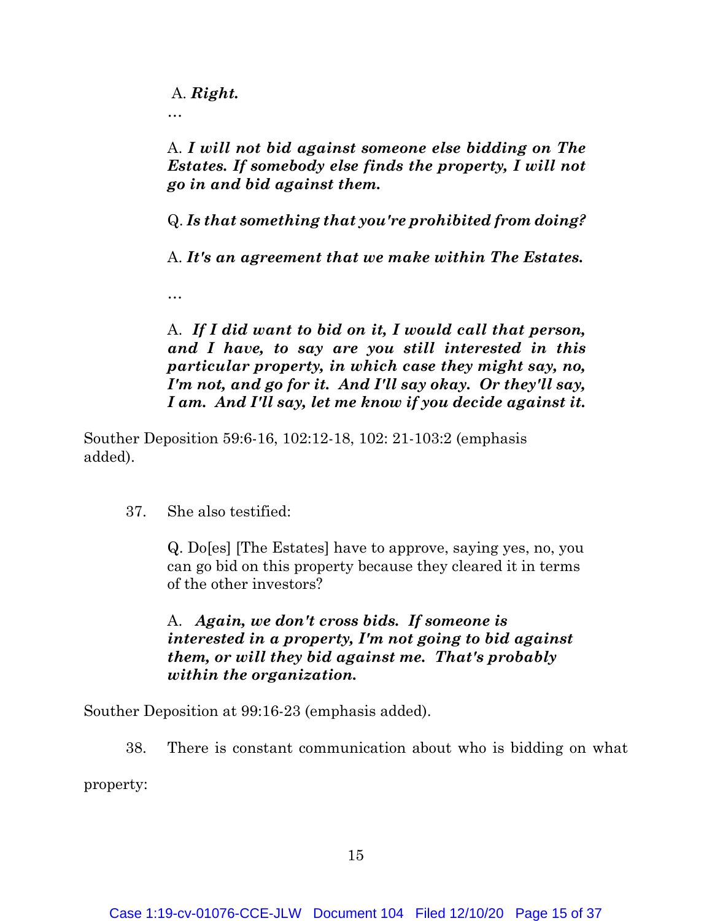A. *Right.*

…

…

A. *I will not bid against someone else bidding on The Estates. If somebody else finds the property, I will not go in and bid against them.* 

Q. *Is that something that you're prohibited from doing?*

A. *It's an agreement that we make within The Estates.*

A. *If I did want to bid on it, I would call that person, and I have, to say are you still interested in this particular property, in which case they might say, no, I'm not, and go for it. And I'll say okay. Or they'll say, I am. And I'll say, let me know if you decide against it.* 

Souther Deposition 59:6-16, 102:12-18, 102: 21-103:2 (emphasis added).

37. She also testified:

Q. Do[es] [The Estates] have to approve, saying yes, no, you can go bid on this property because they cleared it in terms of the other investors?

A. *Again, we don't cross bids. If someone is interested in a property, I'm not going to bid against them, or will they bid against me. That's probably within the organization.*

Souther Deposition at 99:16-23 (emphasis added).

38. There is constant communication about who is bidding on what

property: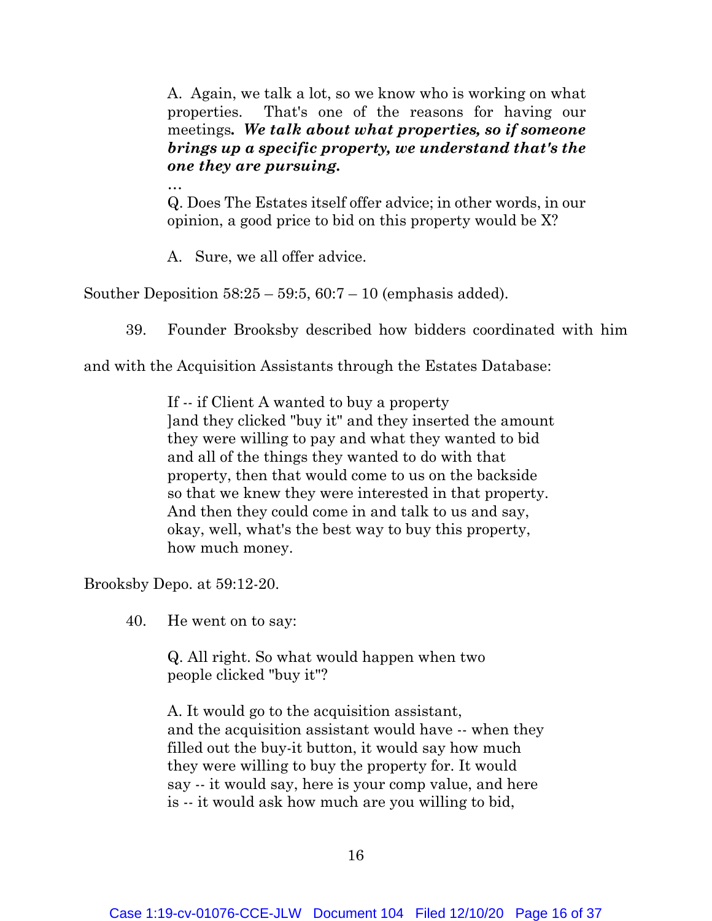A. Again, we talk a lot, so we know who is working on what properties. That's one of the reasons for having our meetings*. We talk about what properties, so if someone brings up a specific property, we understand that's the one they are pursuing.* 

Q. Does The Estates itself offer advice; in other words, in our opinion, a good price to bid on this property would be X?

A. Sure, we all offer advice.

Souther Deposition  $58:25 - 59:5$ ,  $60:7 - 10$  (emphasis added).

39. Founder Brooksby described how bidders coordinated with him

and with the Acquisition Assistants through the Estates Database:

If -- if Client A wanted to buy a property ]and they clicked "buy it" and they inserted the amount they were willing to pay and what they wanted to bid and all of the things they wanted to do with that property, then that would come to us on the backside so that we knew they were interested in that property. And then they could come in and talk to us and say, okay, well, what's the best way to buy this property, how much money.

Brooksby Depo. at 59:12-20.

…

40. He went on to say:

Q. All right. So what would happen when two people clicked "buy it"?

A. It would go to the acquisition assistant, and the acquisition assistant would have -- when they filled out the buy-it button, it would say how much they were willing to buy the property for. It would say -- it would say, here is your comp value, and here is -- it would ask how much are you willing to bid,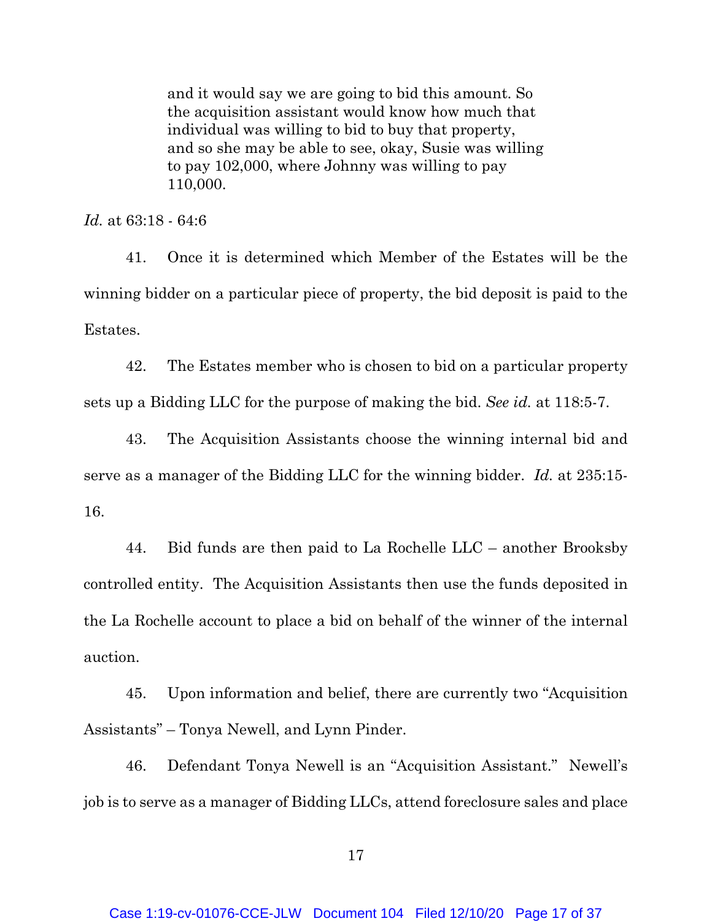and it would say we are going to bid this amount. So the acquisition assistant would know how much that individual was willing to bid to buy that property, and so she may be able to see, okay, Susie was willing to pay 102,000, where Johnny was willing to pay 110,000.

*Id.* at 63:18 - 64:6

41. Once it is determined which Member of the Estates will be the winning bidder on a particular piece of property, the bid deposit is paid to the Estates.

42. The Estates member who is chosen to bid on a particular property sets up a Bidding LLC for the purpose of making the bid. *See id.* at 118:5-7.

43. The Acquisition Assistants choose the winning internal bid and serve as a manager of the Bidding LLC for the winning bidder. *Id.* at 235:15- 16.

44. Bid funds are then paid to La Rochelle LLC – another Brooksby controlled entity. The Acquisition Assistants then use the funds deposited in the La Rochelle account to place a bid on behalf of the winner of the internal auction.

45. Upon information and belief, there are currently two "Acquisition Assistants" – Tonya Newell, and Lynn Pinder.

46. Defendant Tonya Newell is an "Acquisition Assistant." Newell's job is to serve as a manager of Bidding LLCs, attend foreclosure sales and place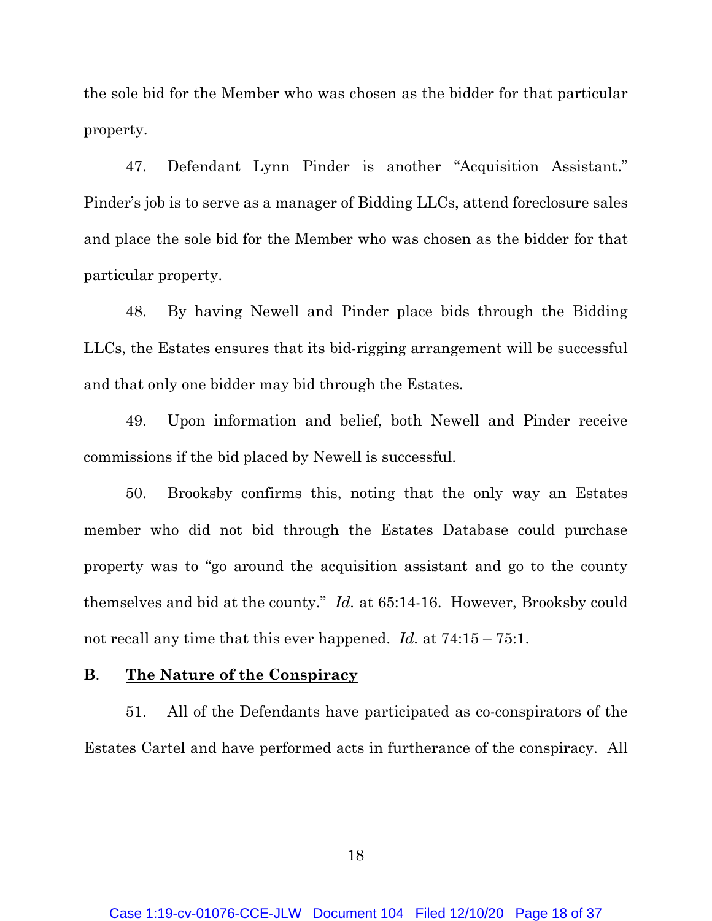the sole bid for the Member who was chosen as the bidder for that particular property.

47. Defendant Lynn Pinder is another "Acquisition Assistant." Pinder's job is to serve as a manager of Bidding LLCs, attend foreclosure sales and place the sole bid for the Member who was chosen as the bidder for that particular property.

48. By having Newell and Pinder place bids through the Bidding LLCs, the Estates ensures that its bid-rigging arrangement will be successful and that only one bidder may bid through the Estates.

49. Upon information and belief, both Newell and Pinder receive commissions if the bid placed by Newell is successful.

50. Brooksby confirms this, noting that the only way an Estates member who did not bid through the Estates Database could purchase property was to "go around the acquisition assistant and go to the county themselves and bid at the county." *Id.* at 65:14-16. However, Brooksby could not recall any time that this ever happened. *Id.* at 74:15 – 75:1.

### **B**. **The Nature of the Conspiracy**

51. All of the Defendants have participated as co-conspirators of the Estates Cartel and have performed acts in furtherance of the conspiracy. All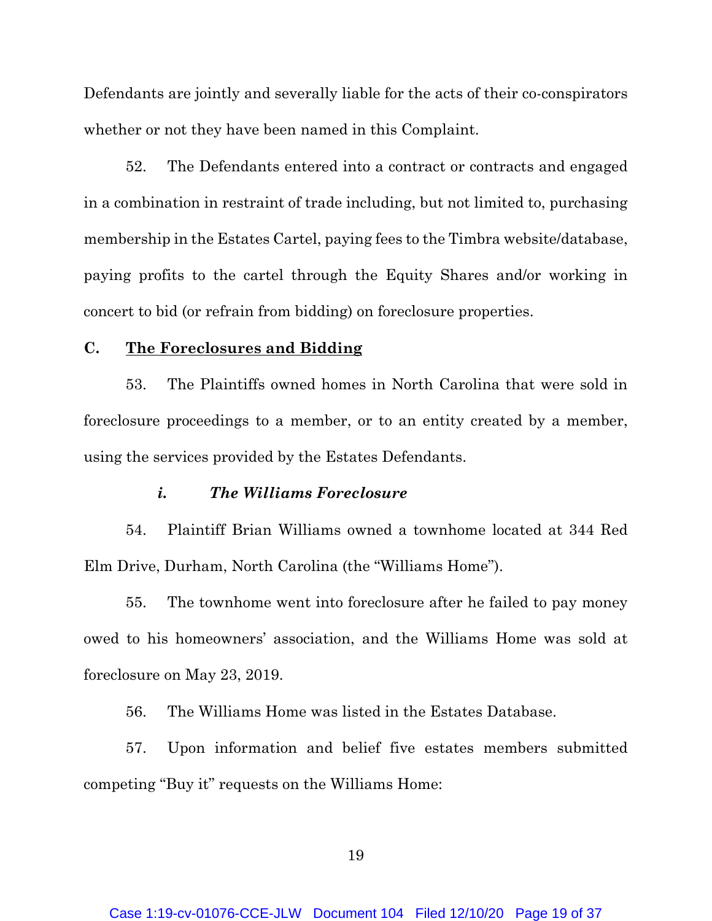Defendants are jointly and severally liable for the acts of their co-conspirators whether or not they have been named in this Complaint.

52. The Defendants entered into a contract or contracts and engaged in a combination in restraint of trade including, but not limited to, purchasing membership in the Estates Cartel, paying fees to the Timbra website/database, paying profits to the cartel through the Equity Shares and/or working in concert to bid (or refrain from bidding) on foreclosure properties.

### **C. The Foreclosures and Bidding**

53. The Plaintiffs owned homes in North Carolina that were sold in foreclosure proceedings to a member, or to an entity created by a member, using the services provided by the Estates Defendants.

### *i. The Williams Foreclosure*

54. Plaintiff Brian Williams owned a townhome located at 344 Red Elm Drive, Durham, North Carolina (the "Williams Home").

55. The townhome went into foreclosure after he failed to pay money owed to his homeowners' association, and the Williams Home was sold at foreclosure on May 23, 2019.

56. The Williams Home was listed in the Estates Database.

57. Upon information and belief five estates members submitted competing "Buy it" requests on the Williams Home: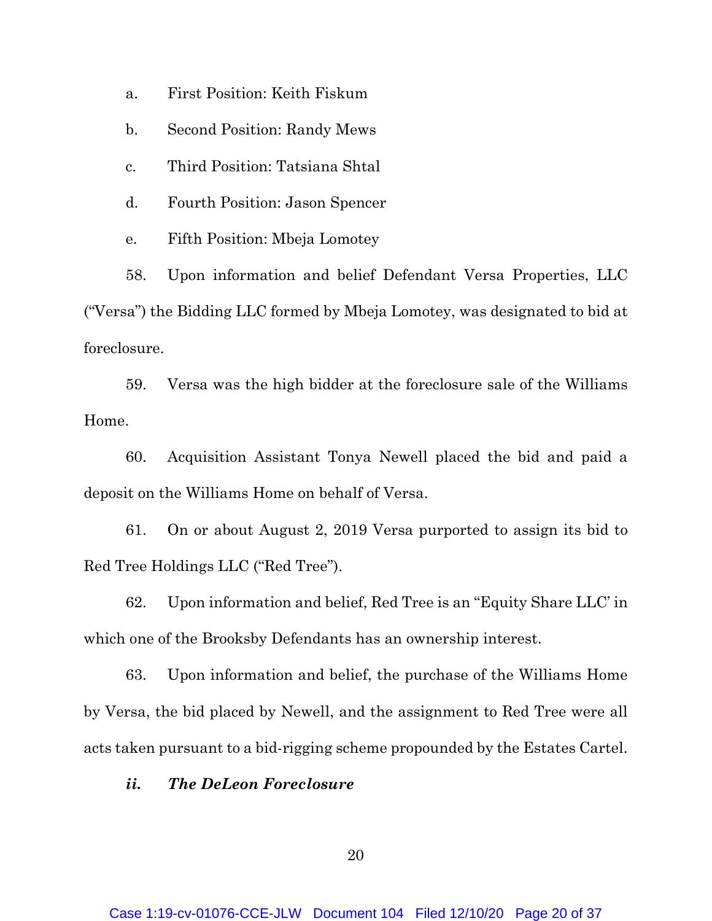a. First Position: Keith Fiskum

b. Second Position: Randy Mews

c. Third Position: Tatsiana Shtal

d. Fourth Position: Jason Spencer

e. Fifth Position: Mbeja Lomotey

58. Upon information and belief Defendant Versa Properties, LLC ("Versa") the Bidding LLC formed by Mbeja Lomotey, was designated to bid at foreclosure.

59. Versa was the high bidder at the foreclosure sale of the Williams Home.

60. Acquisition Assistant Tonya Newell placed the bid and paid a deposit on the Williams Home on behalf of Versa.

61. On or about August 2, 2019 Versa purported to assign its bid to Red Tree Holdings LLC ("Red Tree").

62. Upon information and belief, Red Tree is an "Equity Share LLC' in which one of the Brooksby Defendants has an ownership interest.

63. Upon information and belief, the purchase of the Williams Home by Versa, the bid placed by Newell, and the assignment to Red Tree were all acts taken pursuant to a bid-rigging scheme propounded by the Estates Cartel.

### *ii. The DeLeon Foreclosure*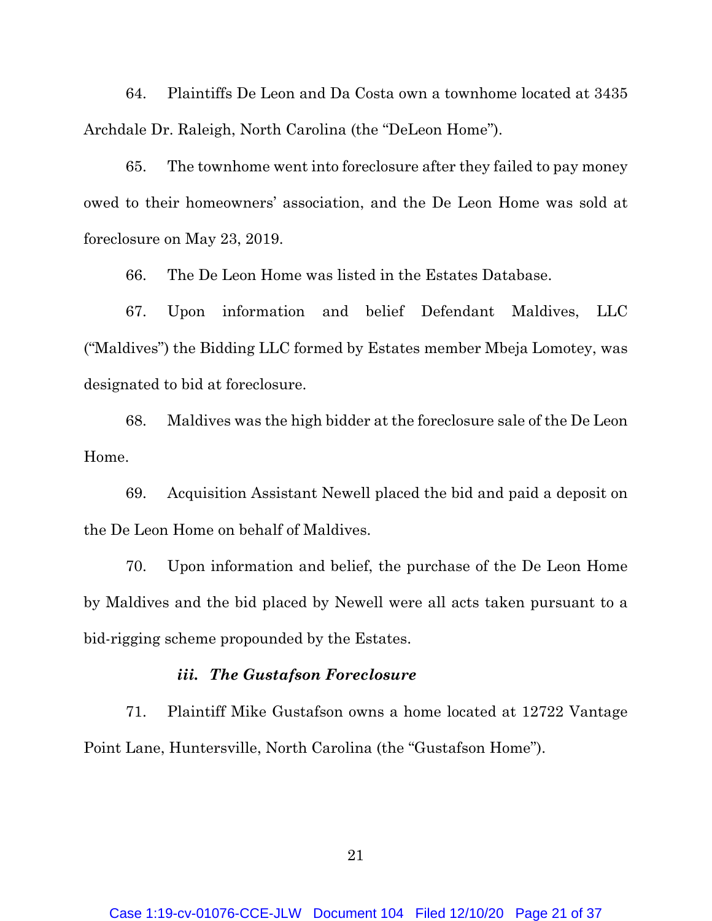64. Plaintiffs De Leon and Da Costa own a townhome located at 3435 Archdale Dr. Raleigh, North Carolina (the "DeLeon Home").

65. The townhome went into foreclosure after they failed to pay money owed to their homeowners' association, and the De Leon Home was sold at foreclosure on May 23, 2019.

66. The De Leon Home was listed in the Estates Database.

67. Upon information and belief Defendant Maldives, LLC ("Maldives") the Bidding LLC formed by Estates member Mbeja Lomotey, was designated to bid at foreclosure.

68. Maldives was the high bidder at the foreclosure sale of the De Leon Home.

69. Acquisition Assistant Newell placed the bid and paid a deposit on the De Leon Home on behalf of Maldives.

70. Upon information and belief, the purchase of the De Leon Home by Maldives and the bid placed by Newell were all acts taken pursuant to a bid-rigging scheme propounded by the Estates.

#### *iii. The Gustafson Foreclosure*

71. Plaintiff Mike Gustafson owns a home located at 12722 Vantage Point Lane, Huntersville, North Carolina (the "Gustafson Home").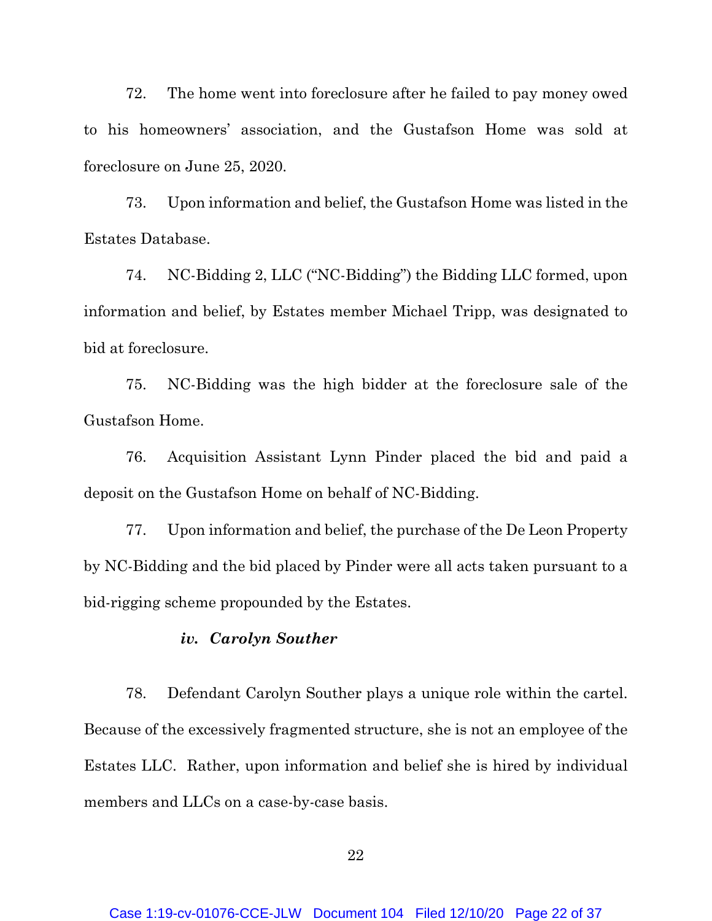72. The home went into foreclosure after he failed to pay money owed to his homeowners' association, and the Gustafson Home was sold at foreclosure on June 25, 2020.

73. Upon information and belief, the Gustafson Home was listed in the Estates Database.

74. NC-Bidding 2, LLC ("NC-Bidding") the Bidding LLC formed, upon information and belief, by Estates member Michael Tripp, was designated to bid at foreclosure.

75. NC-Bidding was the high bidder at the foreclosure sale of the Gustafson Home.

76. Acquisition Assistant Lynn Pinder placed the bid and paid a deposit on the Gustafson Home on behalf of NC-Bidding.

77. Upon information and belief, the purchase of the De Leon Property by NC-Bidding and the bid placed by Pinder were all acts taken pursuant to a bid-rigging scheme propounded by the Estates.

#### *iv. Carolyn Souther*

78. Defendant Carolyn Souther plays a unique role within the cartel. Because of the excessively fragmented structure, she is not an employee of the Estates LLC. Rather, upon information and belief she is hired by individual members and LLCs on a case-by-case basis.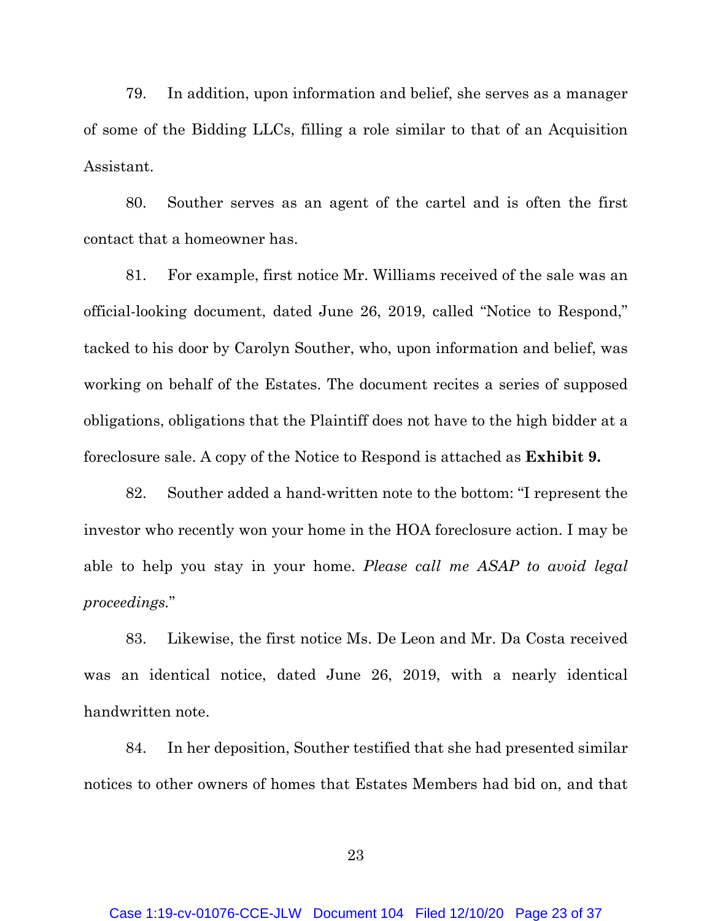79. In addition, upon information and belief, she serves as a manager of some of the Bidding LLCs, filling a role similar to that of an Acquisition Assistant.

80. Souther serves as an agent of the cartel and is often the first contact that a homeowner has.

81. For example, first notice Mr. Williams received of the sale was an official-looking document, dated June 26, 2019, called "Notice to Respond," tacked to his door by Carolyn Souther, who, upon information and belief, was working on behalf of the Estates. The document recites a series of supposed obligations, obligations that the Plaintiff does not have to the high bidder at a foreclosure sale. A copy of the Notice to Respond is attached as **Exhibit 9.**

82. Souther added a hand-written note to the bottom: "I represent the investor who recently won your home in the HOA foreclosure action. I may be able to help you stay in your home. *Please call me ASAP to avoid legal proceedings.*"

83. Likewise, the first notice Ms. De Leon and Mr. Da Costa received was an identical notice, dated June 26, 2019, with a nearly identical handwritten note.

84. In her deposition, Souther testified that she had presented similar notices to other owners of homes that Estates Members had bid on, and that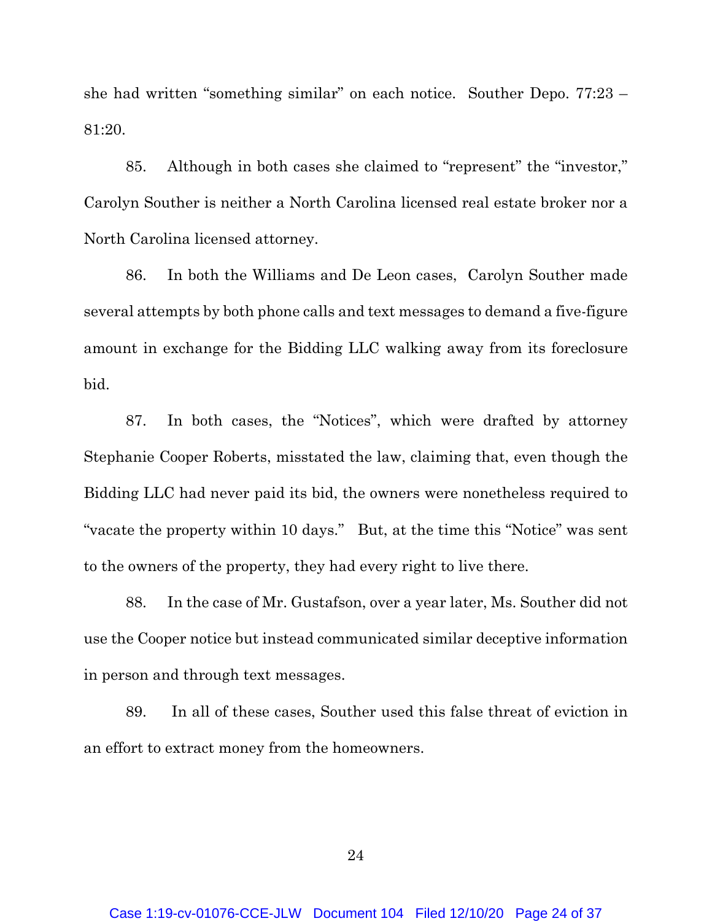she had written "something similar" on each notice. Souther Depo. 77:23 – 81:20.

85. Although in both cases she claimed to "represent" the "investor," Carolyn Souther is neither a North Carolina licensed real estate broker nor a North Carolina licensed attorney.

86. In both the Williams and De Leon cases, Carolyn Souther made several attempts by both phone calls and text messages to demand a five-figure amount in exchange for the Bidding LLC walking away from its foreclosure bid.

87. In both cases, the "Notices", which were drafted by attorney Stephanie Cooper Roberts, misstated the law, claiming that, even though the Bidding LLC had never paid its bid, the owners were nonetheless required to "vacate the property within 10 days." But, at the time this "Notice" was sent to the owners of the property, they had every right to live there.

88. In the case of Mr. Gustafson, over a year later, Ms. Souther did not use the Cooper notice but instead communicated similar deceptive information in person and through text messages.

89. In all of these cases, Souther used this false threat of eviction in an effort to extract money from the homeowners.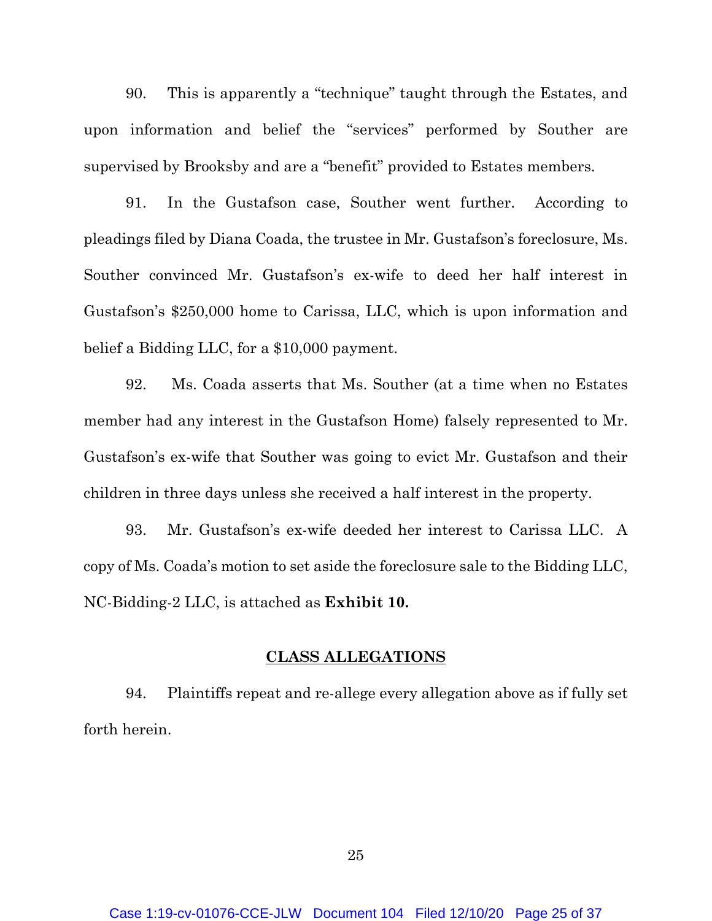90. This is apparently a "technique" taught through the Estates, and upon information and belief the "services" performed by Souther are supervised by Brooksby and are a "benefit" provided to Estates members.

91. In the Gustafson case, Souther went further. According to pleadings filed by Diana Coada, the trustee in Mr. Gustafson's foreclosure, Ms. Souther convinced Mr. Gustafson's ex-wife to deed her half interest in Gustafson's \$250,000 home to Carissa, LLC, which is upon information and belief a Bidding LLC, for a \$10,000 payment.

92. Ms. Coada asserts that Ms. Souther (at a time when no Estates member had any interest in the Gustafson Home) falsely represented to Mr. Gustafson's ex-wife that Souther was going to evict Mr. Gustafson and their children in three days unless she received a half interest in the property.

93. Mr. Gustafson's ex-wife deeded her interest to Carissa LLC. A copy of Ms. Coada's motion to set aside the foreclosure sale to the Bidding LLC, NC-Bidding-2 LLC, is attached as **Exhibit 10.**

#### **CLASS ALLEGATIONS**

94. Plaintiffs repeat and re-allege every allegation above as if fully set forth herein.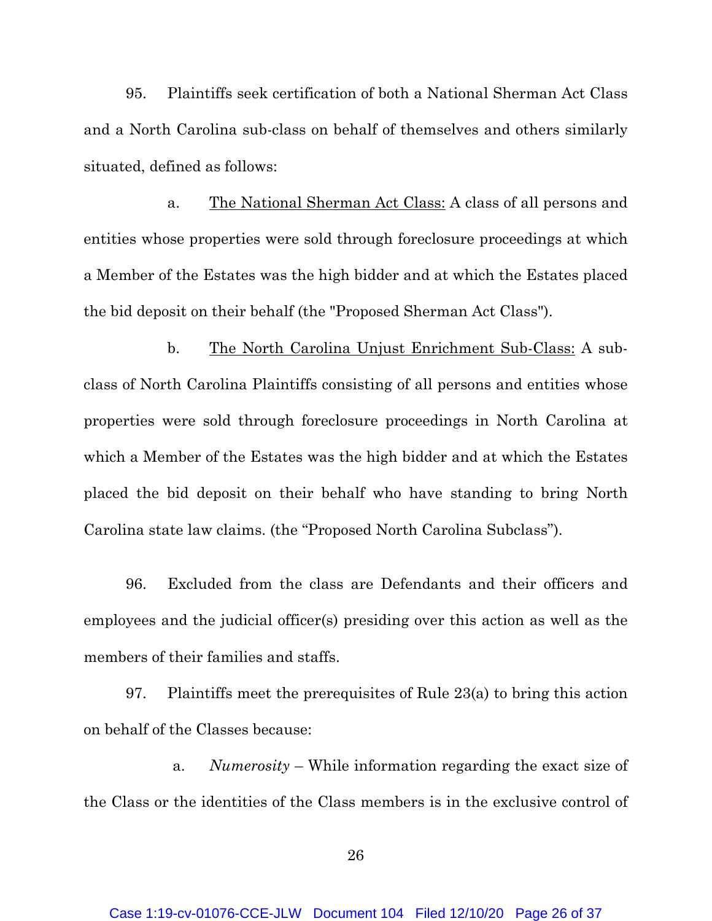95. Plaintiffs seek certification of both a National Sherman Act Class and a North Carolina sub-class on behalf of themselves and others similarly situated, defined as follows:

a. The National Sherman Act Class: A class of all persons and entities whose properties were sold through foreclosure proceedings at which a Member of the Estates was the high bidder and at which the Estates placed the bid deposit on their behalf (the "Proposed Sherman Act Class").

b. The North Carolina Unjust Enrichment Sub-Class: A subclass of North Carolina Plaintiffs consisting of all persons and entities whose properties were sold through foreclosure proceedings in North Carolina at which a Member of the Estates was the high bidder and at which the Estates placed the bid deposit on their behalf who have standing to bring North Carolina state law claims. (the "Proposed North Carolina Subclass").

96. Excluded from the class are Defendants and their officers and employees and the judicial officer(s) presiding over this action as well as the members of their families and staffs.

97. Plaintiffs meet the prerequisites of Rule 23(a) to bring this action on behalf of the Classes because:

a. *Numerosity* – While information regarding the exact size of the Class or the identities of the Class members is in the exclusive control of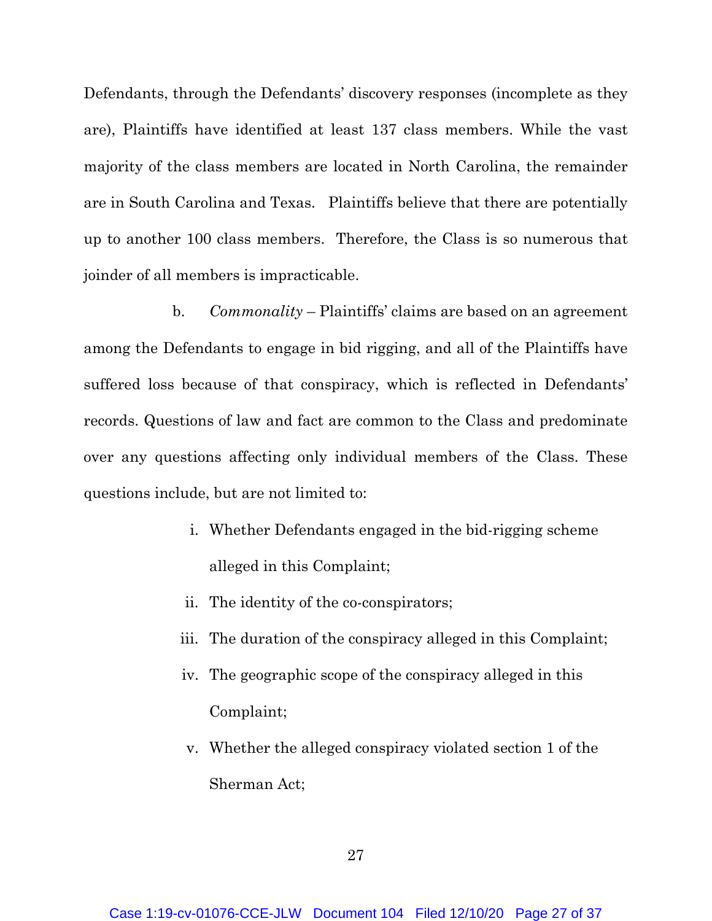Defendants, through the Defendants' discovery responses (incomplete as they are), Plaintiffs have identified at least 137 class members. While the vast majority of the class members are located in North Carolina, the remainder are in South Carolina and Texas. Plaintiffs believe that there are potentially up to another 100 class members. Therefore, the Class is so numerous that joinder of all members is impracticable.

b. *Commonality* – Plaintiffs' claims are based on an agreement among the Defendants to engage in bid rigging, and all of the Plaintiffs have suffered loss because of that conspiracy, which is reflected in Defendants' records. Questions of law and fact are common to the Class and predominate over any questions affecting only individual members of the Class. These questions include, but are not limited to:

- i. Whether Defendants engaged in the bid-rigging scheme alleged in this Complaint;
- ii. The identity of the co-conspirators;
- iii. The duration of the conspiracy alleged in this Complaint;
- iv. The geographic scope of the conspiracy alleged in this Complaint;
- v. Whether the alleged conspiracy violated section 1 of the Sherman Act;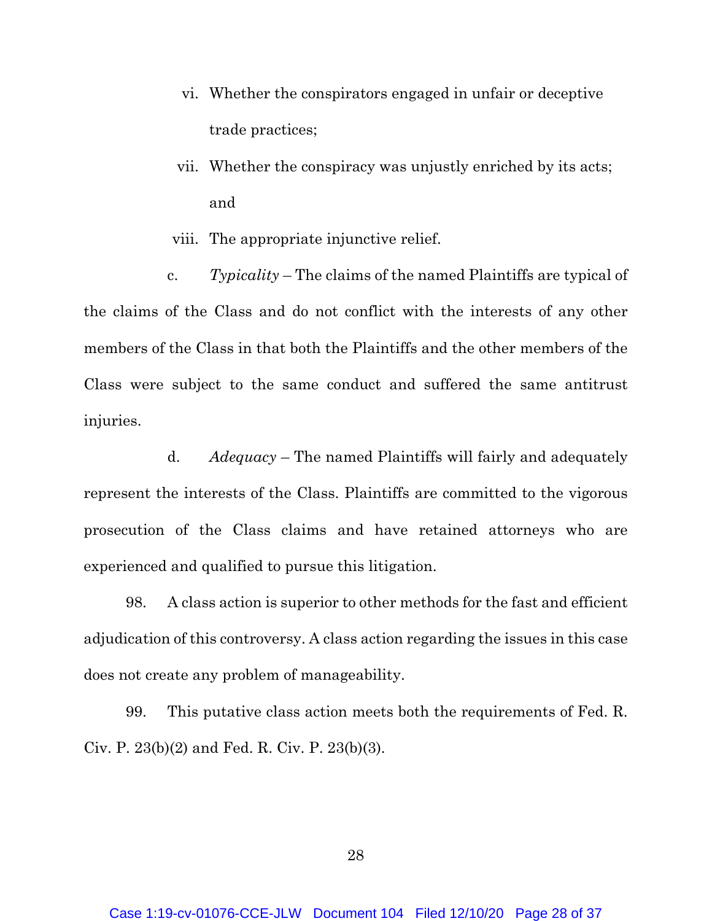- vi. Whether the conspirators engaged in unfair or deceptive trade practices;
- vii. Whether the conspiracy was unjustly enriched by its acts; and
- viii. The appropriate injunctive relief.

c. *Typicality* – The claims of the named Plaintiffs are typical of the claims of the Class and do not conflict with the interests of any other members of the Class in that both the Plaintiffs and the other members of the Class were subject to the same conduct and suffered the same antitrust injuries.

d. *Adequacy* – The named Plaintiffs will fairly and adequately represent the interests of the Class. Plaintiffs are committed to the vigorous prosecution of the Class claims and have retained attorneys who are experienced and qualified to pursue this litigation.

98. A class action is superior to other methods for the fast and efficient adjudication of this controversy. A class action regarding the issues in this case does not create any problem of manageability.

99. This putative class action meets both the requirements of Fed. R. Civ. P. 23(b)(2) and Fed. R. Civ. P. 23(b)(3).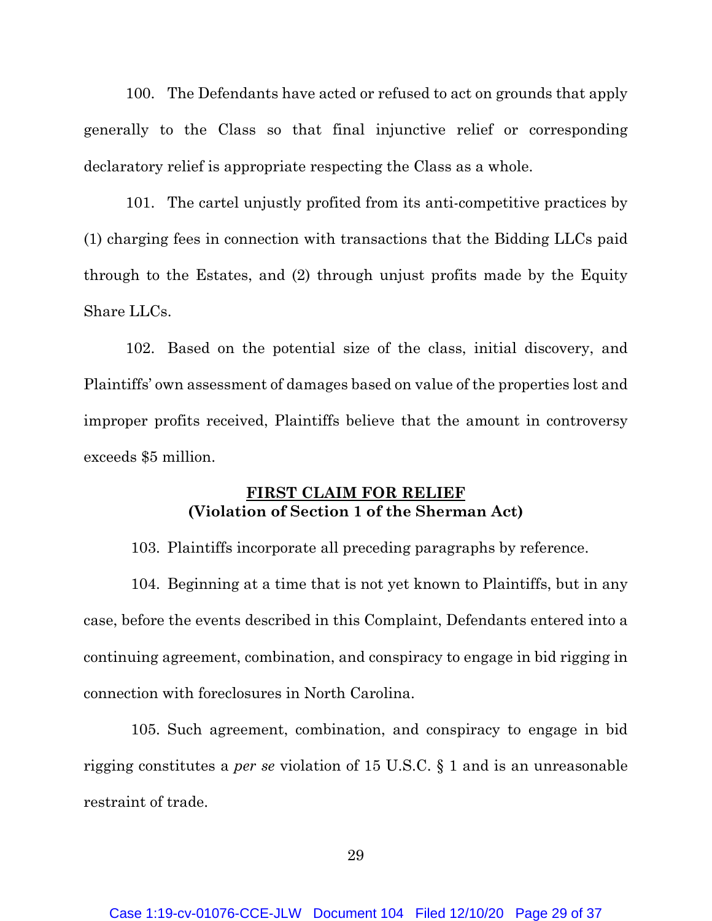100. The Defendants have acted or refused to act on grounds that apply generally to the Class so that final injunctive relief or corresponding declaratory relief is appropriate respecting the Class as a whole.

101. The cartel unjustly profited from its anti-competitive practices by (1) charging fees in connection with transactions that the Bidding LLCs paid through to the Estates, and (2) through unjust profits made by the Equity Share LLCs.

102. Based on the potential size of the class, initial discovery, and Plaintiffs' own assessment of damages based on value of the properties lost and improper profits received, Plaintiffs believe that the amount in controversy exceeds \$5 million.

## **FIRST CLAIM FOR RELIEF (Violation of Section 1 of the Sherman Act)**

103. Plaintiffs incorporate all preceding paragraphs by reference.

104. Beginning at a time that is not yet known to Plaintiffs, but in any case, before the events described in this Complaint, Defendants entered into a continuing agreement, combination, and conspiracy to engage in bid rigging in connection with foreclosures in North Carolina.

105. Such agreement, combination, and conspiracy to engage in bid rigging constitutes a *per se* violation of 15 U.S.C. § 1 and is an unreasonable restraint of trade.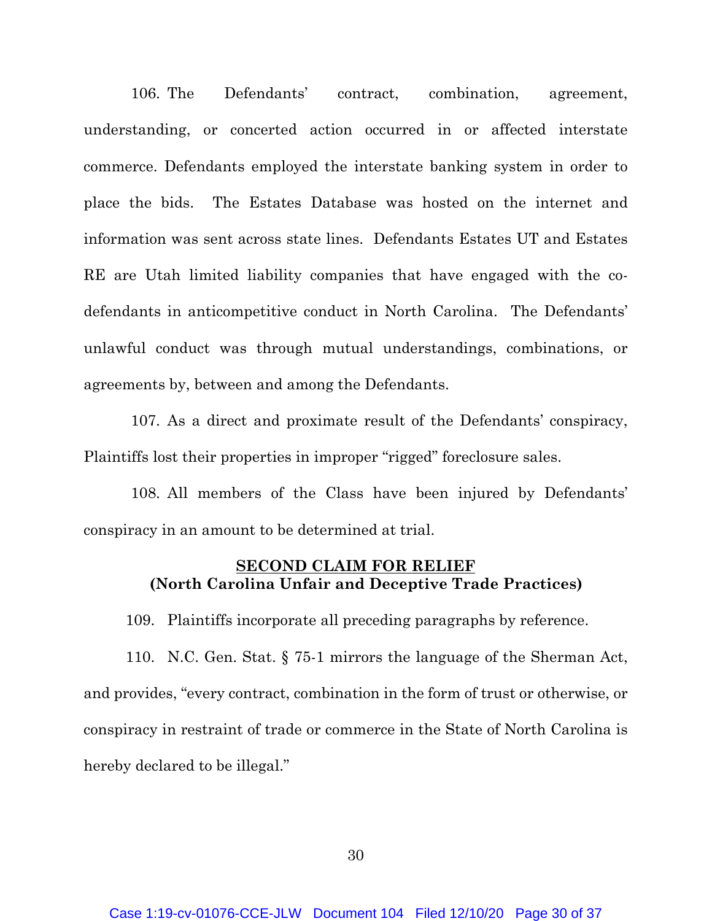106. The Defendants' contract, combination, agreement, understanding, or concerted action occurred in or affected interstate commerce. Defendants employed the interstate banking system in order to place the bids. The Estates Database was hosted on the internet and information was sent across state lines. Defendants Estates UT and Estates RE are Utah limited liability companies that have engaged with the codefendants in anticompetitive conduct in North Carolina. The Defendants' unlawful conduct was through mutual understandings, combinations, or agreements by, between and among the Defendants.

107. As a direct and proximate result of the Defendants' conspiracy, Plaintiffs lost their properties in improper "rigged" foreclosure sales.

108. All members of the Class have been injured by Defendants' conspiracy in an amount to be determined at trial.

## **SECOND CLAIM FOR RELIEF (North Carolina Unfair and Deceptive Trade Practices)**

109. Plaintiffs incorporate all preceding paragraphs by reference.

110. N.C. Gen. Stat. § 75-1 mirrors the language of the Sherman Act, and provides, "every contract, combination in the form of trust or otherwise, or conspiracy in restraint of trade or commerce in the State of North Carolina is hereby declared to be illegal."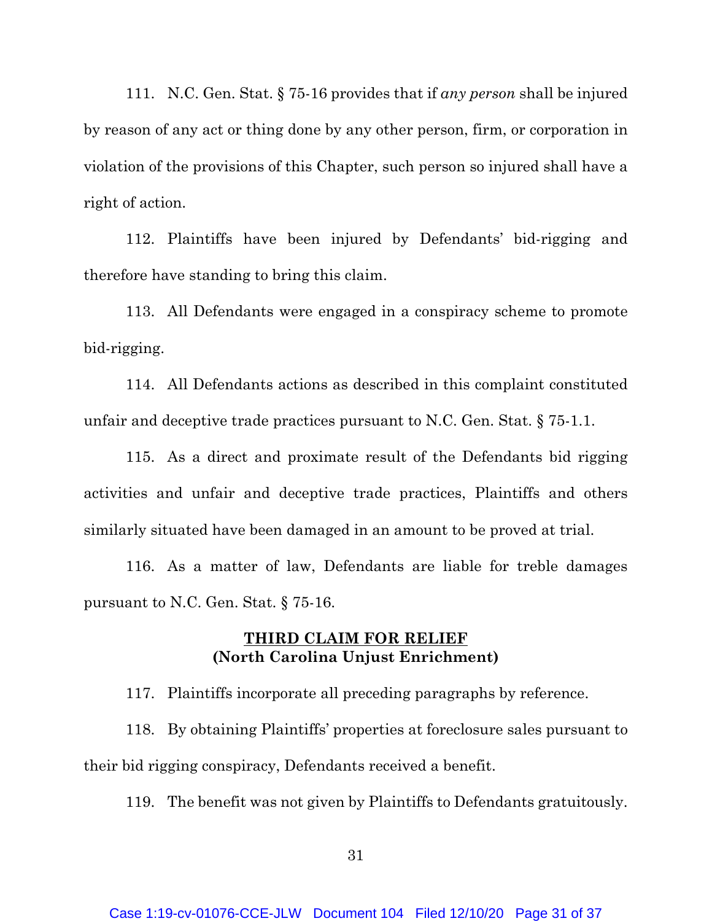111. N.C. Gen. Stat. § 75-16 provides that if *any person* shall be injured by reason of any act or thing done by any other person, firm, or corporation in violation of the provisions of this Chapter, such person so injured shall have a right of action.

112. Plaintiffs have been injured by Defendants' bid-rigging and therefore have standing to bring this claim.

113. All Defendants were engaged in a conspiracy scheme to promote bid-rigging.

114. All Defendants actions as described in this complaint constituted unfair and deceptive trade practices pursuant to N.C. Gen. Stat. § 75-1.1.

115. As a direct and proximate result of the Defendants bid rigging activities and unfair and deceptive trade practices, Plaintiffs and others similarly situated have been damaged in an amount to be proved at trial.

116. As a matter of law, Defendants are liable for treble damages pursuant to N.C. Gen. Stat. § 75-16.

### **THIRD CLAIM FOR RELIEF (North Carolina Unjust Enrichment)**

117. Plaintiffs incorporate all preceding paragraphs by reference.

118. By obtaining Plaintiffs' properties at foreclosure sales pursuant to their bid rigging conspiracy, Defendants received a benefit.

119. The benefit was not given by Plaintiffs to Defendants gratuitously.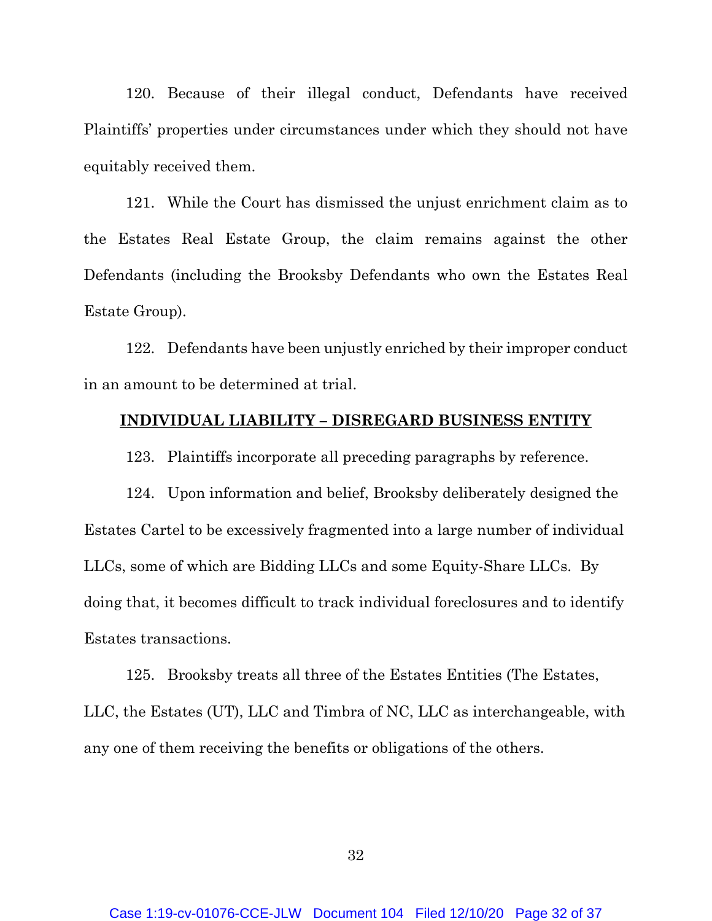120. Because of their illegal conduct, Defendants have received Plaintiffs' properties under circumstances under which they should not have equitably received them.

121. While the Court has dismissed the unjust enrichment claim as to the Estates Real Estate Group, the claim remains against the other Defendants (including the Brooksby Defendants who own the Estates Real Estate Group).

122. Defendants have been unjustly enriched by their improper conduct in an amount to be determined at trial.

#### **INDIVIDUAL LIABILITY – DISREGARD BUSINESS ENTITY**

123. Plaintiffs incorporate all preceding paragraphs by reference.

124. Upon information and belief, Brooksby deliberately designed the Estates Cartel to be excessively fragmented into a large number of individual LLCs, some of which are Bidding LLCs and some Equity-Share LLCs. By doing that, it becomes difficult to track individual foreclosures and to identify Estates transactions.

125. Brooksby treats all three of the Estates Entities (The Estates, LLC, the Estates (UT), LLC and Timbra of NC, LLC as interchangeable, with any one of them receiving the benefits or obligations of the others.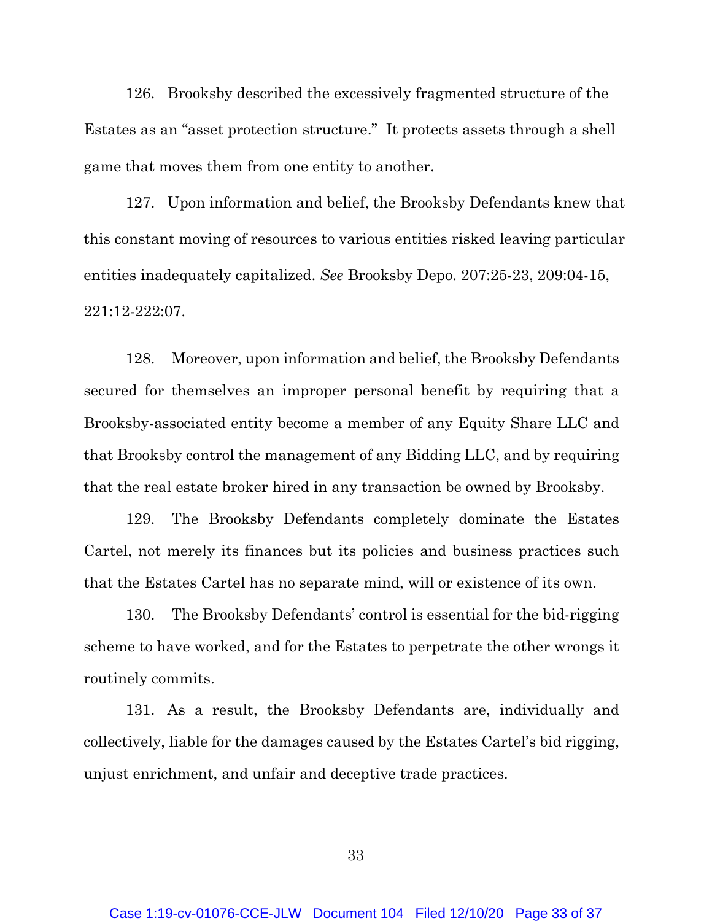126. Brooksby described the excessively fragmented structure of the Estates as an "asset protection structure." It protects assets through a shell game that moves them from one entity to another.

127. Upon information and belief, the Brooksby Defendants knew that this constant moving of resources to various entities risked leaving particular entities inadequately capitalized. *See* Brooksby Depo. 207:25-23, 209:04-15, 221:12-222:07.

128. Moreover, upon information and belief, the Brooksby Defendants secured for themselves an improper personal benefit by requiring that a Brooksby-associated entity become a member of any Equity Share LLC and that Brooksby control the management of any Bidding LLC, and by requiring that the real estate broker hired in any transaction be owned by Brooksby.

129. The Brooksby Defendants completely dominate the Estates Cartel, not merely its finances but its policies and business practices such that the Estates Cartel has no separate mind, will or existence of its own.

130. The Brooksby Defendants' control is essential for the bid-rigging scheme to have worked, and for the Estates to perpetrate the other wrongs it routinely commits.

131. As a result, the Brooksby Defendants are, individually and collectively, liable for the damages caused by the Estates Cartel's bid rigging, unjust enrichment, and unfair and deceptive trade practices.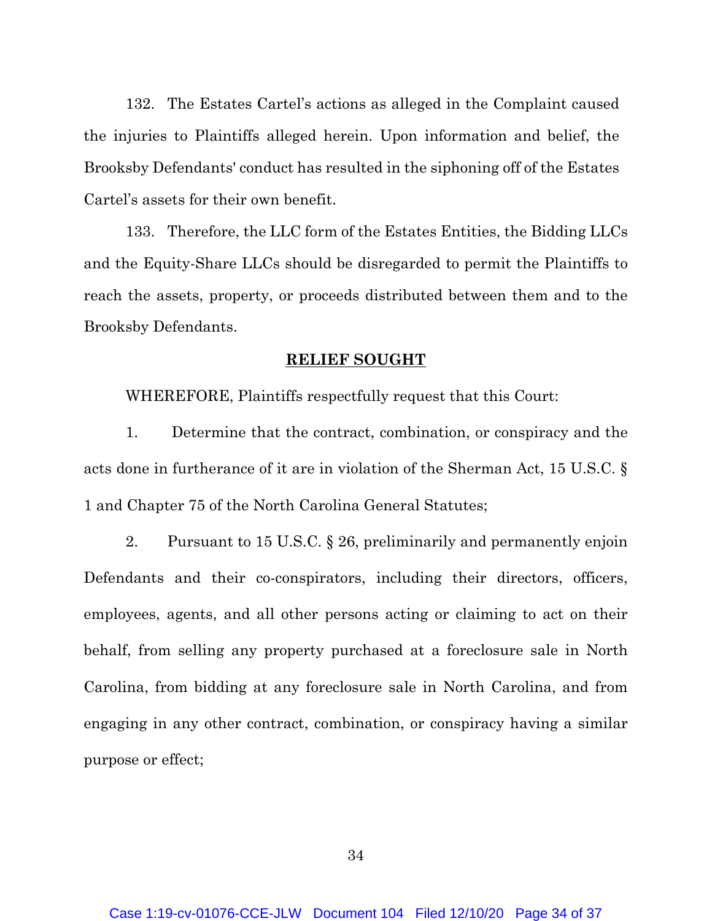132. The Estates Cartel's actions as alleged in the Complaint caused the injuries to Plaintiffs alleged herein. Upon information and belief, the Brooksby Defendants' conduct has resulted in the siphoning off of the Estates Cartel's assets for their own benefit.

133. Therefore, the LLC form of the Estates Entities, the Bidding LLCs and the Equity-Share LLCs should be disregarded to permit the Plaintiffs to reach the assets, property, or proceeds distributed between them and to the Brooksby Defendants.

#### **RELIEF SOUGHT**

WHEREFORE, Plaintiffs respectfully request that this Court:

1. Determine that the contract, combination, or conspiracy and the acts done in furtherance of it are in violation of the Sherman Act, 15 U.S.C. § 1 and Chapter 75 of the North Carolina General Statutes;

2. Pursuant to 15 U.S.C. § 26, preliminarily and permanently enjoin Defendants and their co-conspirators, including their directors, officers, employees, agents, and all other persons acting or claiming to act on their behalf, from selling any property purchased at a foreclosure sale in North Carolina, from bidding at any foreclosure sale in North Carolina, and from engaging in any other contract, combination, or conspiracy having a similar purpose or effect;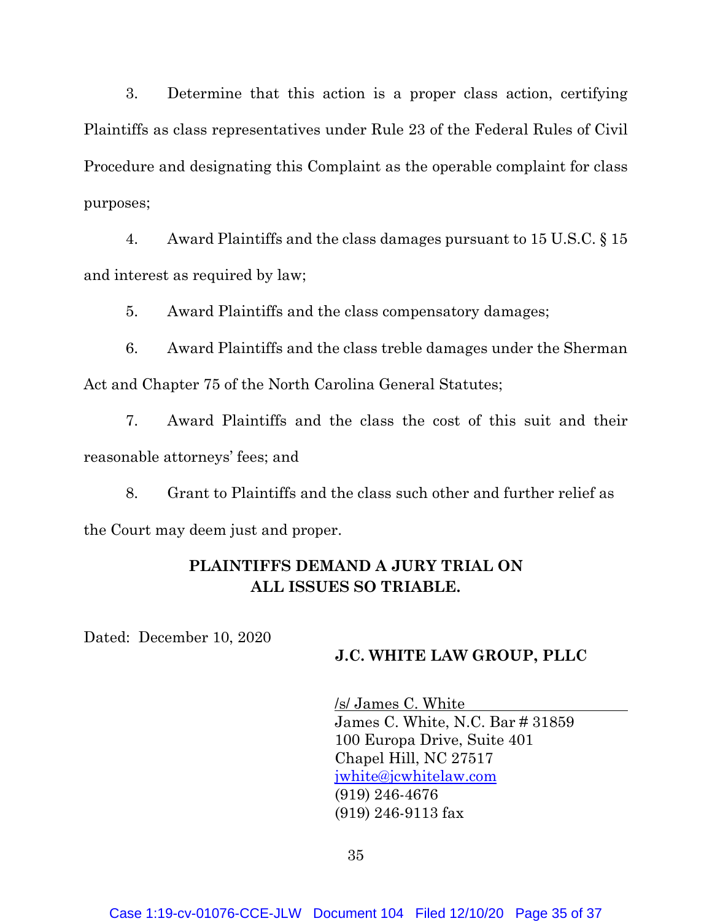3. Determine that this action is a proper class action, certifying Plaintiffs as class representatives under Rule 23 of the Federal Rules of Civil Procedure and designating this Complaint as the operable complaint for class purposes;

4. Award Plaintiffs and the class damages pursuant to 15 U.S.C. § 15 and interest as required by law;

5. Award Plaintiffs and the class compensatory damages;

6. Award Plaintiffs and the class treble damages under the Sherman Act and Chapter 75 of the North Carolina General Statutes;

7. Award Plaintiffs and the class the cost of this suit and their reasonable attorneys' fees; and

8. Grant to Plaintiffs and the class such other and further relief as the Court may deem just and proper.

## **PLAINTIFFS DEMAND A JURY TRIAL ON ALL ISSUES SO TRIABLE.**

Dated: December 10, 2020

### **J.C. WHITE LAW GROUP, PLLC**

/s/ James C. White James C. White, N.C. Bar # 31859 100 Europa Drive, Suite 401 Chapel Hill, NC 27517 jwhite@jcwhitelaw.com (919) 246-4676 (919) 246-9113 fax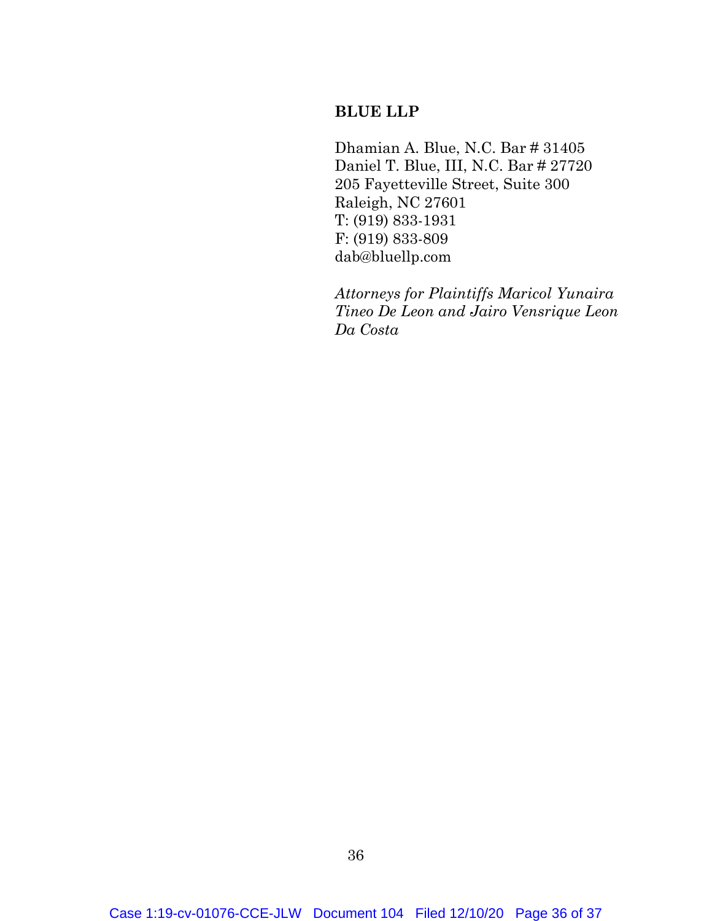## **BLUE LLP**

Dhamian A. Blue, N.C. Bar # 31405 Daniel T. Blue, III, N.C. Bar # 27720 205 Fayetteville Street, Suite 300 Raleigh, NC 27601 T: (919) 833-1931 F: (919) 833-809 dab@bluellp.com

*Attorneys for Plaintiffs Maricol Yunaira Tineo De Leon and Jairo Vensrique Leon Da Costa*